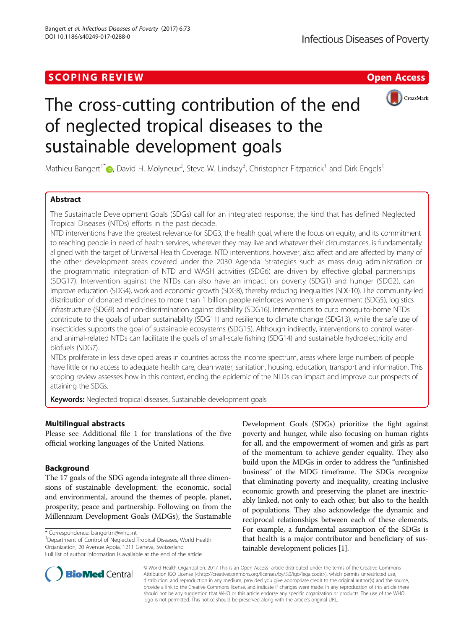# **SCOPING REVIEW AND SCOPING REVIEW CONSUMING A REVIEW**



# The cross-cutting contribution of the end of neglected tropical diseases to the sustainable development goals

Mathieu Bangert<sup>1\*</sup> D[,](http://orcid.org/0000-0003-1320-8145) David H. Molyneux<sup>2</sup>, Steve W. Lindsay<sup>3</sup>, Christopher Fitzpatrick<sup>1</sup> and Dirk Engels<sup>1</sup>

# Abstract

The Sustainable Development Goals (SDGs) call for an integrated response, the kind that has defined Neglected Tropical Diseases (NTDs) efforts in the past decade.

NTD interventions have the greatest relevance for SDG3, the health goal, where the focus on equity, and its commitment to reaching people in need of health services, wherever they may live and whatever their circumstances, is fundamentally aligned with the target of Universal Health Coverage. NTD interventions, however, also affect and are affected by many of the other development areas covered under the 2030 Agenda. Strategies such as mass drug administration or the programmatic integration of NTD and WASH activities (SDG6) are driven by effective global partnerships (SDG17). Intervention against the NTDs can also have an impact on poverty (SDG1) and hunger (SDG2), can improve education (SDG4), work and economic growth (SDG8), thereby reducing inequalities (SDG10). The community-led distribution of donated medicines to more than 1 billion people reinforces women's empowerment (SDG5), logistics infrastructure (SDG9) and non-discrimination against disability (SDG16). Interventions to curb mosquito-borne NTDs contribute to the goals of urban sustainability (SDG11) and resilience to climate change (SDG13), while the safe use of insecticides supports the goal of sustainable ecosystems (SDG15). Although indirectly, interventions to control waterand animal-related NTDs can facilitate the goals of small-scale fishing (SDG14) and sustainable hydroelectricity and biofuels (SDG7).

NTDs proliferate in less developed areas in countries across the income spectrum, areas where large numbers of people have little or no access to adequate health care, clean water, sanitation, housing, education, transport and information. This scoping review assesses how in this context, ending the epidemic of the NTDs can impact and improve our prospects of attaining the SDGs.

Keywords: Neglected tropical diseases, Sustainable development goals

# Multilingual abstracts

Please see Additional file [1](#page-15-0) for translations of the five official working languages of the United Nations.

# Background

The 17 goals of the SDG agenda integrate all three dimensions of sustainable development: the economic, social and environmental, around the themes of people, planet, prosperity, peace and partnership. Following on from the Millennium Development Goals (MDGs), the Sustainable

\* Correspondence: [bangertm@who.int](mailto:bangertm@who.int) <sup>1</sup>

<sup>1</sup> Department of Control of Neglected Tropical Diseases, World Health Organization, 20 Avenue Appia, 1211 Geneva, Switzerland Full list of author information is available at the end of the article

Development Goals (SDGs) prioritize the fight against poverty and hunger, while also focusing on human rights for all, and the empowerment of women and girls as part of the momentum to achieve gender equality. They also build upon the MDGs in order to address the "unfinished business" of the MDG timeframe. The SDGs recognize that eliminating poverty and inequality, creating inclusive economic growth and preserving the planet are inextricably linked, not only to each other, but also to the health of populations. They also acknowledge the dynamic and reciprocal relationships between each of these elements. For example, a fundamental assumption of the SDGs is that health is a major contributor and beneficiary of sustainable development policies [[1](#page-15-0)].



© World Health Organization. 2017 This is an Open Access article distributed under the terms of the Creative Commons Attribution IGO License ([<http://creativecommons.org/licenses/by/3.0/igo/legalcode>](http://creativecommons.org/licenses/by/3.0/igo/legalcode)), which permits unrestricted use, distribution, and reproduction in any medium, provided you give appropriate credit to the original author(s) and the source, provide a link to the Creative Commons license, and indicate if changes were made. In any reproduction of this article there should not be any suggestion that WHO or this article endorse any specific organization or products. The use of the WHO logo is not permitted. This notice should be preserved along with the article's original URL.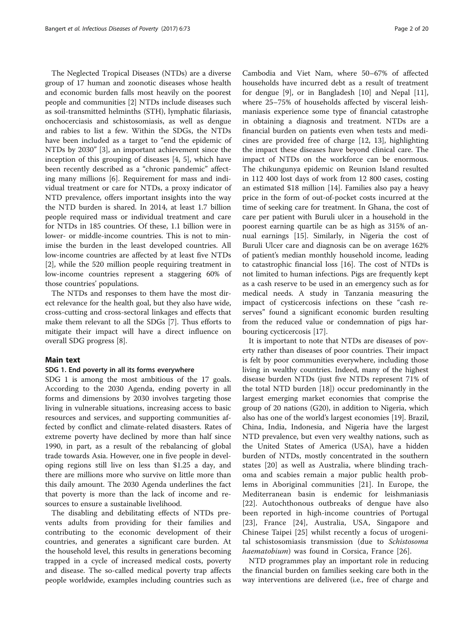The Neglected Tropical Diseases (NTDs) are a diverse group of 17 human and zoonotic diseases whose health and economic burden falls most heavily on the poorest people and communities [[2\]](#page-15-0) NTDs include diseases such as soil-transmitted helminths (STH), lymphatic filariasis, onchocerciasis and schistosomiasis, as well as dengue and rabies to list a few. Within the SDGs, the NTDs have been included as a target to "end the epidemic of NTDs by 2030" [[3\]](#page-15-0), an important achievement since the inception of this grouping of diseases [[4](#page-15-0), [5](#page-15-0)], which have been recently described as a "chronic pandemic" affecting many millions [\[6](#page-15-0)]. Requirement for mass and individual treatment or care for NTDs, a proxy indicator of NTD prevalence, offers important insights into the way the NTD burden is shared. In 2014, at least 1.7 billion people required mass or individual treatment and care for NTDs in 185 countries. Of these, 1.1 billion were in lower- or middle-income countries. This is not to minimise the burden in the least developed countries. All low-income countries are affected by at least five NTDs [[2\]](#page-15-0), while the 520 million people requiring treatment in low-income countries represent a staggering 60% of those countries' populations.

The NTDs and responses to them have the most direct relevance for the health goal, but they also have wide, cross-cutting and cross-sectoral linkages and effects that make them relevant to all the SDGs [\[7](#page-15-0)]. Thus efforts to mitigate their impact will have a direct influence on overall SDG progress [[8\]](#page-15-0).

#### Main text

#### SDG 1. End poverty in all its forms everywhere

SDG 1 is among the most ambitious of the 17 goals. According to the 2030 Agenda, ending poverty in all forms and dimensions by 2030 involves targeting those living in vulnerable situations, increasing access to basic resources and services, and supporting communities affected by conflict and climate-related disasters. Rates of extreme poverty have declined by more than half since 1990, in part, as a result of the rebalancing of global trade towards Asia. However, one in five people in developing regions still live on less than \$1.25 a day, and there are millions more who survive on little more than this daily amount. The 2030 Agenda underlines the fact that poverty is more than the lack of income and resources to ensure a sustainable livelihood.

The disabling and debilitating effects of NTDs prevents adults from providing for their families and contributing to the economic development of their countries, and generates a significant care burden. At the household level, this results in generations becoming trapped in a cycle of increased medical costs, poverty and disease. The so-called medical poverty trap affects people worldwide, examples including countries such as

Cambodia and Viet Nam, where 50–67% of affected households have incurred debt as a result of treatment for dengue [[9](#page-15-0)], or in Bangladesh [[10\]](#page-15-0) and Nepal [\[11](#page-15-0)], where 25–75% of households affected by visceral leishmaniasis experience some type of financial catastrophe in obtaining a diagnosis and treatment. NTDs are a financial burden on patients even when tests and medicines are provided free of charge [[12, 13\]](#page-15-0), highlighting the impact these diseases have beyond clinical care. The impact of NTDs on the workforce can be enormous. The chikungunya epidemic on Reunion Island resulted in 112 400 lost days of work from 12 800 cases, costing an estimated \$18 million [[14\]](#page-16-0). Families also pay a heavy price in the form of out-of-pocket costs incurred at the time of seeking care for treatment. In Ghana, the cost of care per patient with Buruli ulcer in a household in the poorest earning quartile can be as high as 315% of annual earnings [[15](#page-16-0)]. Similarly, in Nigeria the cost of Buruli Ulcer care and diagnosis can be on average 162% of patient's median monthly household income, leading to catastrophic financial loss [\[16](#page-16-0)]. The cost of NTDs is not limited to human infections. Pigs are frequently kept as a cash reserve to be used in an emergency such as for medical needs. A study in Tanzania measuring the impact of cysticercosis infections on these "cash reserves" found a significant economic burden resulting from the reduced value or condemnation of pigs harbouring cycticercosis [[17\]](#page-16-0).

It is important to note that NTDs are diseases of poverty rather than diseases of poor countries. Their impact is felt by poor communities everywhere, including those living in wealthy countries. Indeed, many of the highest disease burden NTDs (just five NTDs represent 71% of the total NTD burden [\[18](#page-16-0)]) occur predominantly in the largest emerging market economies that comprise the group of 20 nations (G20), in addition to Nigeria, which also has one of the world's largest economies [\[19\]](#page-16-0). Brazil, China, India, Indonesia, and Nigeria have the largest NTD prevalence, but even very wealthy nations, such as the United States of America (USA), have a hidden burden of NTDs, mostly concentrated in the southern states [[20\]](#page-16-0) as well as Australia, where blinding trachoma and scabies remain a major public health problems in Aboriginal communities [[21\]](#page-16-0). In Europe, the Mediterranean basin is endemic for leishmaniasis [[22\]](#page-16-0). Autochthonous outbreaks of dengue have also been reported in high-income countries of Portugal [[23\]](#page-16-0), France [\[24](#page-16-0)], Australia, USA, Singapore and Chinese Taipei [[25\]](#page-16-0) whilst recently a focus of urogenital schistosomiasis transmission (due to Schistosoma haematobium) was found in Corsica, France [[26\]](#page-16-0).

NTD programmes play an important role in reducing the financial burden on families seeking care both in the way interventions are delivered (i.e., free of charge and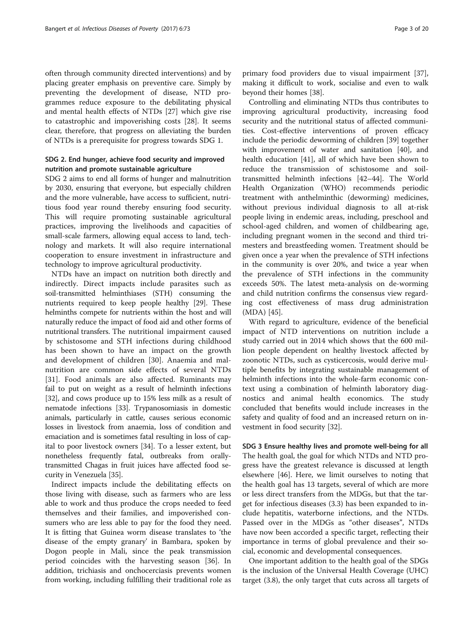often through community directed interventions) and by placing greater emphasis on preventive care. Simply by preventing the development of disease, NTD programmes reduce exposure to the debilitating physical and mental health effects of NTDs [[27\]](#page-16-0) which give rise to catastrophic and impoverishing costs [[28\]](#page-16-0). It seems clear, therefore, that progress on alleviating the burden of NTDs is a prerequisite for progress towards SDG 1.

# SDG 2. End hunger, achieve food security and improved nutrition and promote sustainable agriculture

SDG 2 aims to end all forms of hunger and malnutrition by 2030, ensuring that everyone, but especially children and the more vulnerable, have access to sufficient, nutritious food year round thereby ensuring food security. This will require promoting sustainable agricultural practices, improving the livelihoods and capacities of small-scale farmers, allowing equal access to land, technology and markets. It will also require international cooperation to ensure investment in infrastructure and technology to improve agricultural productivity.

NTDs have an impact on nutrition both directly and indirectly. Direct impacts include parasites such as soil-transmitted helminthiases (STH) consuming the nutrients required to keep people healthy [\[29\]](#page-16-0). These helminths compete for nutrients within the host and will naturally reduce the impact of food aid and other forms of nutritional transfers. The nutritional impairment caused by schistosome and STH infections during childhood has been shown to have an impact on the growth and development of children [[30\]](#page-16-0). Anaemia and malnutrition are common side effects of several NTDs [[31\]](#page-16-0). Food animals are also affected. Ruminants may fail to put on weight as a result of helminth infections [[32](#page-16-0)], and cows produce up to 15% less milk as a result of nematode infections [[33](#page-16-0)]. Trypanosomiasis in domestic animals, particularly in cattle, causes serious economic losses in livestock from anaemia, loss of condition and emaciation and is sometimes fatal resulting in loss of capital to poor livestock owners [[34\]](#page-16-0). To a lesser extent, but nonetheless frequently fatal, outbreaks from orallytransmitted Chagas in fruit juices have affected food security in Venezuela [[35](#page-16-0)].

Indirect impacts include the debilitating effects on those living with disease, such as farmers who are less able to work and thus produce the crops needed to feed themselves and their families, and impoverished consumers who are less able to pay for the food they need. It is fitting that Guinea worm disease translates to 'the disease of the empty granary' in Bambara, spoken by Dogon people in Mali, since the peak transmission period coincides with the harvesting season [[36](#page-16-0)]. In addition, trichiasis and onchocerciasis prevents women from working, including fulfilling their traditional role as

primary food providers due to visual impairment [\[37](#page-16-0)], making it difficult to work, socialise and even to walk beyond their homes [\[38](#page-16-0)].

Controlling and eliminating NTDs thus contributes to improving agricultural productivity, increasing food security and the nutritional status of affected communities. Cost-effective interventions of proven efficacy include the periodic deworming of children [[39\]](#page-16-0) together with improvement of water and sanitation [\[40](#page-16-0)], and health education [\[41\]](#page-16-0), all of which have been shown to reduce the transmission of schistosome and soiltransmitted helminth infections [[42](#page-16-0)–[44](#page-16-0)]. The World Health Organization (WHO) recommends periodic treatment with anthelminthic (deworming) medicines, without previous individual diagnosis to all at-risk people living in endemic areas, including, preschool and school-aged children, and women of childbearing age, including pregnant women in the second and third trimesters and breastfeeding women. Treatment should be given once a year when the prevalence of STH infections in the community is over 20%, and twice a year when the prevalence of STH infections in the community exceeds 50%. The latest meta-analysis on de-worming and child nutrition confirms the consensus view regarding cost effectiveness of mass drug administration (MDA) [\[45](#page-16-0)].

With regard to agriculture, evidence of the beneficial impact of NTD interventions on nutrition include a study carried out in 2014 which shows that the 600 million people dependent on healthy livestock affected by zoonotic NTDs, such as cysticercosis, would derive multiple benefits by integrating sustainable management of helminth infections into the whole-farm economic context using a combination of helminth laboratory diagnostics and animal health economics. The study concluded that benefits would include increases in the safety and quality of food and an increased return on investment in food security [[32\]](#page-16-0).

SDG 3 Ensure healthy lives and promote well-being for all The health goal, the goal for which NTDs and NTD progress have the greatest relevance is discussed at length elsewhere [\[46\]](#page-16-0). Here, we limit ourselves to noting that the health goal has 13 targets, several of which are more or less direct transfers from the MDGs, but that the target for infectious diseases (3.3) has been expanded to include hepatitis, waterborne infections, and the NTDs. Passed over in the MDGs as "other diseases", NTDs have now been accorded a specific target, reflecting their importance in terms of global prevalence and their social, economic and developmental consequences.

One important addition to the health goal of the SDGs is the inclusion of the Universal Health Coverage (UHC) target (3.8), the only target that cuts across all targets of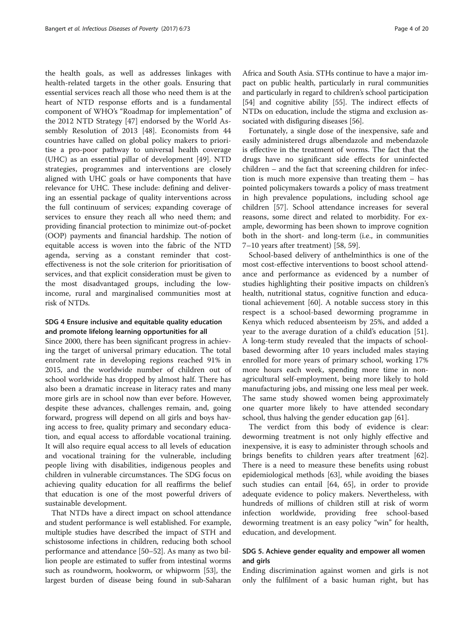the health goals, as well as addresses linkages with health-related targets in the other goals. Ensuring that essential services reach all those who need them is at the heart of NTD response efforts and is a fundamental component of WHO's "Roadmap for implementation" of the 2012 NTD Strategy [\[47](#page-16-0)] endorsed by the World Assembly Resolution of 2013 [[48\]](#page-16-0). Economists from 44 countries have called on global policy makers to prioritise a pro-poor pathway to universal health coverage (UHC) as an essential pillar of development [[49\]](#page-16-0). NTD strategies, programmes and interventions are closely aligned with UHC goals or have components that have relevance for UHC. These include: defining and delivering an essential package of quality interventions across the full continuum of services; expanding coverage of services to ensure they reach all who need them; and providing financial protection to minimize out-of-pocket (OOP) payments and financial hardship. The notion of equitable access is woven into the fabric of the NTD agenda, serving as a constant reminder that costeffectiveness is not the sole criterion for prioritisation of services, and that explicit consideration must be given to the most disadvantaged groups, including the lowincome, rural and marginalised communities most at risk of NTDs.

## SDG 4 Ensure inclusive and equitable quality education and promote lifelong learning opportunities for all

Since 2000, there has been significant progress in achieving the target of universal primary education. The total enrolment rate in developing regions reached 91% in 2015, and the worldwide number of children out of school worldwide has dropped by almost half. There has also been a dramatic increase in literacy rates and many more girls are in school now than ever before. However, despite these advances, challenges remain, and, going forward, progress will depend on all girls and boys having access to free, quality primary and secondary education, and equal access to affordable vocational training. It will also require equal access to all levels of education and vocational training for the vulnerable, including people living with disabilities, indigenous peoples and children in vulnerable circumstances. The SDG focus on achieving quality education for all reaffirms the belief that education is one of the most powerful drivers of sustainable development.

That NTDs have a direct impact on school attendance and student performance is well established. For example, multiple studies have described the impact of STH and schistosome infections in children, reducing both school performance and attendance [\[50](#page-16-0)–[52](#page-16-0)]. As many as two billion people are estimated to suffer from intestinal worms such as roundworm, hookworm, or whipworm [[53](#page-16-0)], the largest burden of disease being found in sub-Saharan

Africa and South Asia. STHs continue to have a major impact on public health, particularly in rural communities and particularly in regard to children's school participation [[54](#page-16-0)] and cognitive ability [\[55\]](#page-16-0). The indirect effects of NTDs on education, include the stigma and exclusion associated with disfiguring diseases [\[56\]](#page-16-0).

Fortunately, a single dose of the inexpensive, safe and easily administered drugs albendazole and mebendazole is effective in the treatment of worms. The fact that the drugs have no significant side effects for uninfected children – and the fact that screening children for infection is much more expensive than treating them – has pointed policymakers towards a policy of mass treatment in high prevalence populations, including school age children [\[57\]](#page-16-0). School attendance increases for several reasons, some direct and related to morbidity. For example, deworming has been shown to improve cognition both in the short- and long-term (i.e., in communities 7–10 years after treatment) [[58](#page-16-0), [59](#page-16-0)].

School-based delivery of anthelminthics is one of the most cost-effective interventions to boost school attendance and performance as evidenced by a number of studies highlighting their positive impacts on children's health, nutritional status, cognitive function and educational achievement [\[60\]](#page-16-0). A notable success story in this respect is a school-based deworming programme in Kenya which reduced absenteeism by 25%, and added a year to the average duration of a child's education [\[51](#page-16-0)]. A long-term study revealed that the impacts of schoolbased deworming after 10 years included males staying enrolled for more years of primary school, working 17% more hours each week, spending more time in nonagricultural self-employment, being more likely to hold manufacturing jobs, and missing one less meal per week. The same study showed women being approximately one quarter more likely to have attended secondary school, thus halving the gender education gap [[61\]](#page-16-0).

The verdict from this body of evidence is clear: deworming treatment is not only highly effective and inexpensive, it is easy to administer through schools and brings benefits to children years after treatment [\[62](#page-17-0)]. There is a need to measure these benefits using robust epidemiological methods [[63\]](#page-17-0), while avoiding the biases such studies can entail [\[64](#page-17-0), [65\]](#page-17-0), in order to provide adequate evidence to policy makers. Nevertheless, with hundreds of millions of children still at risk of worm infection worldwide, providing free school-based deworming treatment is an easy policy "win" for health, education, and development.

# SDG 5. Achieve gender equality and empower all women and girls

Ending discrimination against women and girls is not only the fulfilment of a basic human right, but has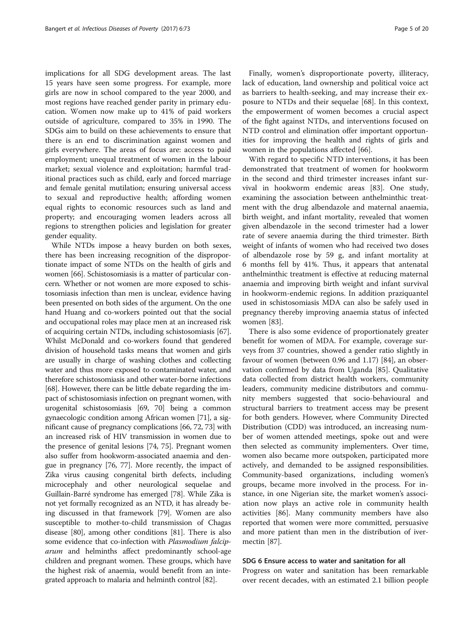implications for all SDG development areas. The last 15 years have seen some progress. For example, more girls are now in school compared to the year 2000, and most regions have reached gender parity in primary education. Women now make up to 41% of paid workers outside of agriculture, compared to 35% in 1990. The SDGs aim to build on these achievements to ensure that there is an end to discrimination against women and girls everywhere. The areas of focus are: access to paid employment; unequal treatment of women in the labour market; sexual violence and exploitation; harmful traditional practices such as child, early and forced marriage and female genital mutilation; ensuring universal access to sexual and reproductive health; affording women equal rights to economic resources such as land and property; and encouraging women leaders across all regions to strengthen policies and legislation for greater gender equality.

While NTDs impose a heavy burden on both sexes, there has been increasing recognition of the disproportionate impact of some NTDs on the health of girls and women [\[66\]](#page-17-0). Schistosomiasis is a matter of particular concern. Whether or not women are more exposed to schistosomiasis infection than men is unclear, evidence having been presented on both sides of the argument. On the one hand Huang and co-workers pointed out that the social and occupational roles may place men at an increased risk of acquiring certain NTDs, including schistosomiasis [[67](#page-17-0)]. Whilst McDonald and co-workers found that gendered division of household tasks means that women and girls are usually in charge of washing clothes and collecting water and thus more exposed to contaminated water, and therefore schistosomiasis and other water-borne infections [[68](#page-17-0)]. However, there can be little debate regarding the impact of schistosomiasis infection on pregnant women, with urogenital schistosomiasis [[69](#page-17-0), [70\]](#page-17-0) being a common gynaecologic condition among African women [[71\]](#page-17-0), a significant cause of pregnancy complications [\[66, 72](#page-17-0), [73](#page-17-0)] with an increased risk of HIV transmission in women due to the presence of genital lesions [\[74, 75](#page-17-0)]. Pregnant women also suffer from hookworm-associated anaemia and dengue in pregnancy [\[76](#page-17-0), [77\]](#page-17-0). More recently, the impact of Zika virus causing congenital birth defects, including microcephaly and other neurological sequelae and Guillain-Barré syndrome has emerged [\[78](#page-17-0)]. While Zika is not yet formally recognized as an NTD, it has already being discussed in that framework [[79\]](#page-17-0). Women are also susceptible to mother-to-child transmission of Chagas disease [\[80\]](#page-17-0), among other conditions [\[81](#page-17-0)]. There is also some evidence that co-infection with Plasmodium falciparum and helminths affect predominantly school-age children and pregnant women. These groups, which have the highest risk of anaemia, would benefit from an integrated approach to malaria and helminth control [[82](#page-17-0)].

Finally, women's disproportionate poverty, illiteracy, lack of education, land ownership and political voice act as barriers to health-seeking, and may increase their exposure to NTDs and their sequelae [\[68](#page-17-0)]. In this context, the empowerment of women becomes a crucial aspect of the fight against NTDs, and interventions focused on NTD control and elimination offer important opportunities for improving the health and rights of girls and women in the populations affected [\[66\]](#page-17-0).

With regard to specific NTD interventions, it has been demonstrated that treatment of women for hookworm in the second and third trimester increases infant survival in hookworm endemic areas [\[83](#page-17-0)]. One study, examining the association between anthelminthic treatment with the drug albendazole and maternal anaemia, birth weight, and infant mortality, revealed that women given albendazole in the second trimester had a lower rate of severe anaemia during the third trimester. Birth weight of infants of women who had received two doses of albendazole rose by 59 g, and infant mortality at 6 months fell by 41%. Thus, it appears that antenatal anthelminthic treatment is effective at reducing maternal anaemia and improving birth weight and infant survival in hookworm-endemic regions. In addition praziquantel used in schistosomiasis MDA can also be safely used in pregnancy thereby improving anaemia status of infected women [[83\]](#page-17-0).

There is also some evidence of proportionately greater benefit for women of MDA. For example, coverage surveys from 37 countries, showed a gender ratio slightly in favour of women (between 0.96 and 1.17) [\[84\]](#page-17-0), an observation confirmed by data from Uganda [\[85\]](#page-17-0). Qualitative data collected from district health workers, community leaders, community medicine distributors and community members suggested that socio-behavioural and structural barriers to treatment access may be present for both genders. However, where Community Directed Distribution (CDD) was introduced, an increasing number of women attended meetings, spoke out and were then selected as community implementers. Over time, women also became more outspoken, participated more actively, and demanded to be assigned responsibilities. Community-based organizations, including women's groups, became more involved in the process. For instance, in one Nigerian site, the market women's association now plays an active role in community health activities [[86](#page-17-0)]. Many community members have also reported that women were more committed, persuasive and more patient than men in the distribution of ivermectin [\[87\]](#page-17-0).

#### SDG 6 Ensure access to water and sanitation for all

Progress on water and sanitation has been remarkable over recent decades, with an estimated 2.1 billion people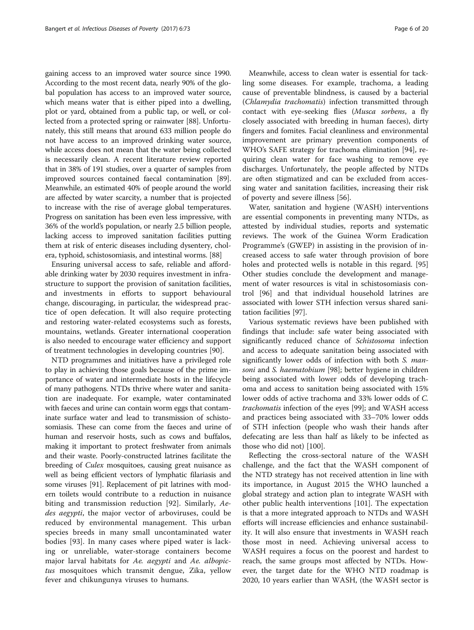gaining access to an improved water source since 1990. According to the most recent data, nearly 90% of the global population has access to an improved water source, which means water that is either piped into a dwelling, plot or yard, obtained from a public tap, or well, or collected from a protected spring or rainwater [\[88\]](#page-17-0). Unfortunately, this still means that around 633 million people do not have access to an improved drinking water source, while access does not mean that the water being collected is necessarily clean. A recent literature review reported that in 38% of 191 studies, over a quarter of samples from improved sources contained faecal contamination [[89](#page-17-0)]. Meanwhile, an estimated 40% of people around the world are affected by water scarcity, a number that is projected to increase with the rise of average global temperatures. Progress on sanitation has been even less impressive, with 36% of the world's population, or nearly 2.5 billion people, lacking access to improved sanitation facilities putting them at risk of enteric diseases including dysentery, cholera, typhoid, schistosomiasis, and intestinal worms. [\[88\]](#page-17-0)

Ensuring universal access to safe, reliable and affordable drinking water by 2030 requires investment in infrastructure to support the provision of sanitation facilities, and investments in efforts to support behavioural change, discouraging, in particular, the widespread practice of open defecation. It will also require protecting and restoring water-related ecosystems such as forests, mountains, wetlands. Greater international cooperation is also needed to encourage water efficiency and support of treatment technologies in developing countries [\[90](#page-17-0)].

NTD programmes and initiatives have a privileged role to play in achieving those goals because of the prime importance of water and intermediate hosts in the lifecycle of many pathogens. NTDs thrive where water and sanitation are inadequate. For example, water contaminated with faeces and urine can contain worm eggs that contaminate surface water and lead to transmission of schistosomiasis. These can come from the faeces and urine of human and reservoir hosts, such as cows and buffalos, making it important to protect freshwater from animals and their waste. Poorly-constructed latrines facilitate the breeding of Culex mosquitoes, causing great nuisance as well as being efficient vectors of lymphatic filariasis and some viruses [[91](#page-17-0)]. Replacement of pit latrines with modern toilets would contribute to a reduction in nuisance biting and transmission reduction [[92\]](#page-17-0). Similarly, Aedes aegypti, the major vector of arboviruses, could be reduced by environmental management. This urban species breeds in many small uncontaminated water bodies [[93\]](#page-17-0). In many cases where piped water is lacking or unreliable, water-storage containers become major larval habitats for Ae. aegypti and Ae. albopictus mosquitoes which transmit dengue, Zika, yellow fever and chikungunya viruses to humans.

Meanwhile, access to clean water is essential for tackling some diseases. For example, trachoma, a leading cause of preventable blindness, is caused by a bacterial (Chlamydia trachomatis) infection transmitted through contact with eye-seeking flies (Musca sorbens, a fly closely associated with breeding in human faeces), dirty fingers and fomites. Facial cleanliness and environmental improvement are primary prevention components of WHO's SAFE strategy for trachoma elimination [[94](#page-17-0)], requiring clean water for face washing to remove eye discharges. Unfortunately, the people affected by NTDs are often stigmatized and can be excluded from accessing water and sanitation facilities, increasing their risk of poverty and severe illness [\[56](#page-16-0)].

Water, sanitation and hygiene (WASH) interventions are essential components in preventing many NTDs, as attested by individual studies, reports and systematic reviews. The work of the Guinea Worm Eradication Programme's (GWEP) in assisting in the provision of increased access to safe water through provision of bore holes and protected wells is notable in this regard. [[95](#page-17-0)] Other studies conclude the development and management of water resources is vital in schistosomiasis control [\[96\]](#page-17-0) and that individual household latrines are associated with lower STH infection versus shared sanitation facilities [[97\]](#page-17-0).

Various systematic reviews have been published with findings that include: safe water being associated with significantly reduced chance of Schistosoma infection and access to adequate sanitation being associated with significantly lower odds of infection with both S. man-soni and S. haematobium [[98\]](#page-17-0); better hygiene in children being associated with lower odds of developing trachoma and access to sanitation being associated with 15% lower odds of active trachoma and 33% lower odds of C. trachomatis infection of the eyes [[99\]](#page-17-0); and WASH access and practices being associated with 33–70% lower odds of STH infection (people who wash their hands after defecating are less than half as likely to be infected as those who did not) [[100](#page-17-0)].

Reflecting the cross-sectoral nature of the WASH challenge, and the fact that the WASH component of the NTD strategy has not received attention in line with its importance, in August 2015 the WHO launched a global strategy and action plan to integrate WASH with other public health interventions [\[101\]](#page-17-0). The expectation is that a more integrated approach to NTDs and WASH efforts will increase efficiencies and enhance sustainability. It will also ensure that investments in WASH reach those most in need. Achieving universal access to WASH requires a focus on the poorest and hardest to reach, the same groups most affected by NTDs. However, the target date for the WHO NTD roadmap is 2020, 10 years earlier than WASH, (the WASH sector is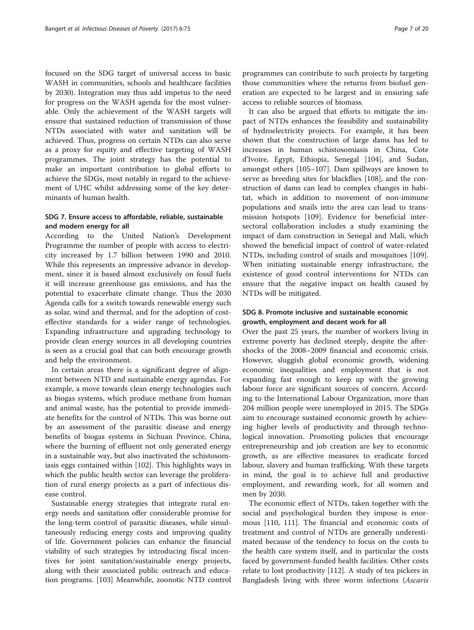focused on the SDG target of universal access to basic WASH in communities, schools and healthcare facilities by 2030). Integration may thus add impetus to the need for progress on the WASH agenda for the most vulnerable. Only the achievement of the WASH targets will ensure that sustained reduction of transmission of those NTDs associated with water and sanitation will be achieved. Thus, progress on certain NTDs can also serve as a proxy for equity and effective targeting of WASH programmes. The joint strategy has the potential to make an important contribution to global efforts to achieve the SDGs, most notably in regard to the achievement of UHC whilst addressing some of the key determinants of human health.

# SDG 7. Ensure access to affordable, reliable, sustainable and modern energy for all

According to the United Nation's Development Programme the number of people with access to electricity increased by 1.7 billion between 1990 and 2010. While this represents an impressive advance in development, since it is based almost exclusively on fossil fuels it will increase greenhouse gas emissions, and has the potential to exacerbate climate change. Thus the 2030 Agenda calls for a switch towards renewable energy such as solar, wind and thermal, and for the adoption of costeffective standards for a wider range of technologies. Expanding infrastructure and upgrading technology to provide clean energy sources in all developing countries is seen as a crucial goal that can both encourage growth and help the environment.

In certain areas there is a significant degree of alignment between NTD and sustainable energy agendas. For example, a move towards clean energy technologies such as biogas systems, which produce methane from human and animal waste, has the potential to provide immediate benefits for the control of NTDs. This was borne out by an assessment of the parasitic disease and energy benefits of biogas systems in Sichuan Province, China, where the burning of effluent not only generated energy in a sustainable way, but also inactivated the schistosomiasis eggs contained within [[102](#page-17-0)]. This highlights ways in which the public health sector can leverage the proliferation of rural energy projects as a part of infectious disease control.

Sustainable energy strategies that integrate rural energy needs and sanitation offer considerable promise for the long-term control of parasitic diseases, while simultaneously reducing energy costs and improving quality of life. Government policies can enhance the financial viability of such strategies by introducing fiscal incentives for joint sanitation/sustainable energy projects, along with their associated public outreach and education programs. [\[103](#page-17-0)] Meanwhile, zoonotic NTD control programmes can contribute to such projects by targeting those communities where the returns from biofuel generation are expected to be largest and in ensuring safe access to reliable sources of biomass.

It can also be argued that efforts to mitigate the impact of NTDs enhances the feasibility and sustainability of hydroelectricity projects. For example, it has been shown that the construction of large dams has led to increases in human schistosomiasis in China, Cote d'Ivoire, Egypt, Ethiopia, Senegal [[104](#page-17-0)], and Sudan, amongst others [\[105](#page-17-0)–[107\]](#page-17-0). Dam spillways are known to serve as breeding sites for blackflies [\[108\]](#page-17-0), and the construction of dams can lead to complex changes in habitat, which in addition to movement of non-immune populations and snails into the area can lead to transmission hotspots [[109\]](#page-17-0). Evidence for beneficial intersectoral collaboration includes a study examining the impact of dam construction in Senegal and Mali, which showed the beneficial impact of control of water-related NTDs, including control of snails and mosquitoes [[109](#page-17-0)]. When initiating sustainable energy infrastructure, the existence of good control interventions for NTDs can ensure that the negative impact on health caused by NTDs will be mitigated.

## SDG 8. Promote inclusive and sustainable economic growth, employment and decent work for all

Over the past 25 years, the number of workers living in extreme poverty has declined steeply, despite the aftershocks of the 2008–2009 financial and economic crisis. However, sluggish global economic growth, widening economic inequalities and employment that is not expanding fast enough to keep up with the growing labour force are significant sources of concern. According to the International Labour Organization, more than 204 million people were unemployed in 2015. The SDGs aim to encourage sustained economic growth by achieving higher levels of productivity and through technological innovation. Promoting policies that encourage entrepreneurship and job creation are key to economic growth, as are effective measures to eradicate forced labour, slavery and human trafficking. With these targets in mind, the goal is to achieve full and productive employment, and rewarding work, for all women and men by 2030.

The economic effect of NTDs, taken together with the social and psychological burden they impose is enormous [[110, 111](#page-18-0)]. The financial and economic costs of treatment and control of NTDs are generally underestimated because of the tendency to focus on the costs to the health care system itself, and in particular the costs faced by government-funded health facilities. Other costs relate to lost productivity [[112](#page-18-0)]. A study of tea pickers in Bangladesh living with three worm infections (Ascaris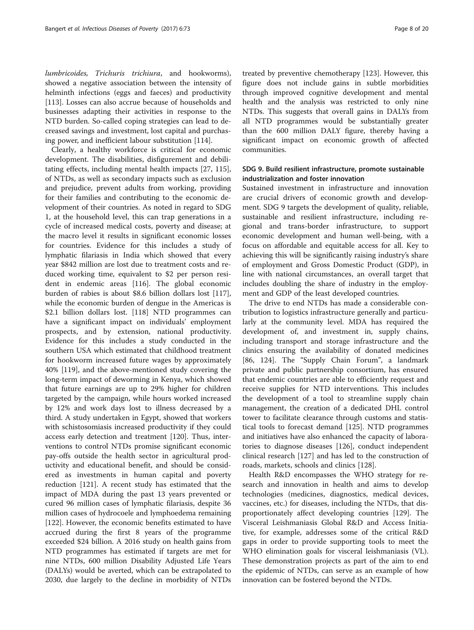lumbricoides, Trichuris trichiura, and hookworms), showed a negative association between the intensity of helminth infections (eggs and faeces) and productivity [[113\]](#page-18-0). Losses can also accrue because of households and businesses adapting their activities in response to the NTD burden. So-called coping strategies can lead to decreased savings and investment, lost capital and purchasing power, and inefficient labour substitution [\[114\]](#page-18-0).

Clearly, a healthy workforce is critical for economic development. The disabilities, disfigurement and debilitating effects, including mental health impacts [\[27,](#page-16-0) [115](#page-18-0)], of NTDs, as well as secondary impacts such as exclusion and prejudice, prevent adults from working, providing for their families and contributing to the economic development of their countries. As noted in regard to SDG 1, at the household level, this can trap generations in a cycle of increased medical costs, poverty and disease; at the macro level it results in significant economic losses for countries. Evidence for this includes a study of lymphatic filariasis in India which showed that every year \$842 million are lost due to treatment costs and reduced working time, equivalent to \$2 per person resident in endemic areas [\[116\]](#page-18-0). The global economic burden of rabies is about \$8.6 billion dollars lost [\[117](#page-18-0)], while the economic burden of dengue in the Americas is \$2.1 billion dollars lost. [[118\]](#page-18-0) NTD programmes can have a significant impact on individuals' employment prospects, and by extension, national productivity. Evidence for this includes a study conducted in the southern USA which estimated that childhood treatment for hookworm increased future wages by approximately 40% [\[119\]](#page-18-0), and the above-mentioned study covering the long-term impact of deworming in Kenya, which showed that future earnings are up to 29% higher for children targeted by the campaign, while hours worked increased by 12% and work days lost to illness decreased by a third. A study undertaken in Egypt, showed that workers with schistosomiasis increased productivity if they could access early detection and treatment [[120\]](#page-18-0). Thus, interventions to control NTDs promise significant economic pay-offs outside the health sector in agricultural productivity and educational benefit, and should be considered as investments in human capital and poverty reduction [[121](#page-18-0)]. A recent study has estimated that the impact of MDA during the past 13 years prevented or cured 96 million cases of lymphatic filariasis, despite 36 million cases of hydrocoele and lymphoedema remaining [[122\]](#page-18-0). However, the economic benefits estimated to have accrued during the first 8 years of the programme exceeded \$24 billion. A 2016 study on health gains from NTD programmes has estimated if targets are met for nine NTDs, 600 million Disability Adjusted Life Years (DALYs) would be averted, which can be extrapolated to 2030, due largely to the decline in morbidity of NTDs treated by preventive chemotherapy [\[123\]](#page-18-0). However, this figure does not include gains in subtle morbidities through improved cognitive development and mental health and the analysis was restricted to only nine NTDs. This suggests that overall gains in DALYs from all NTD programmes would be substantially greater than the 600 million DALY figure, thereby having a significant impact on economic growth of affected communities.

#### SDG 9. Build resilient infrastructure, promote sustainable industrialization and foster innovation

Sustained investment in infrastructure and innovation are crucial drivers of economic growth and development. SDG 9 targets the development of quality, reliable, sustainable and resilient infrastructure, including regional and trans-border infrastructure, to support economic development and human well-being, with a focus on affordable and equitable access for all. Key to achieving this will be significantly raising industry's share of employment and Gross Domestic Product (GDP), in line with national circumstances, an overall target that includes doubling the share of industry in the employment and GDP of the least developed countries.

The drive to end NTDs has made a considerable contribution to logistics infrastructure generally and particularly at the community level. MDA has required the development of, and investment in, supply chains, including transport and storage infrastructure and the clinics ensuring the availability of donated medicines [[86,](#page-17-0) [124\]](#page-18-0). The "Supply Chain Forum", a landmark private and public partnership consortium, has ensured that endemic countries are able to efficiently request and receive supplies for NTD interventions. This includes the development of a tool to streamline supply chain management, the creation of a dedicated DHL control tower to facilitate clearance through customs and statistical tools to forecast demand [[125](#page-18-0)]. NTD programmes and initiatives have also enhanced the capacity of laboratories to diagnose diseases [\[126](#page-18-0)], conduct independent clinical research [\[127\]](#page-18-0) and has led to the construction of roads, markets, schools and clinics [[128\]](#page-18-0).

Health R&D encompasses the WHO strategy for research and innovation in health and aims to develop technologies (medicines, diagnostics, medical devices, vaccines, etc.) for diseases, including the NTDs, that disproportionately affect developing countries [[129\]](#page-18-0). The Visceral Leishmaniasis Global R&D and Access Initiative, for example, addresses some of the critical R&D gaps in order to provide supporting tools to meet the WHO elimination goals for visceral leishmaniasis (VL). These demonstration projects as part of the aim to end the epidemic of NTDs, can serve as an example of how innovation can be fostered beyond the NTDs.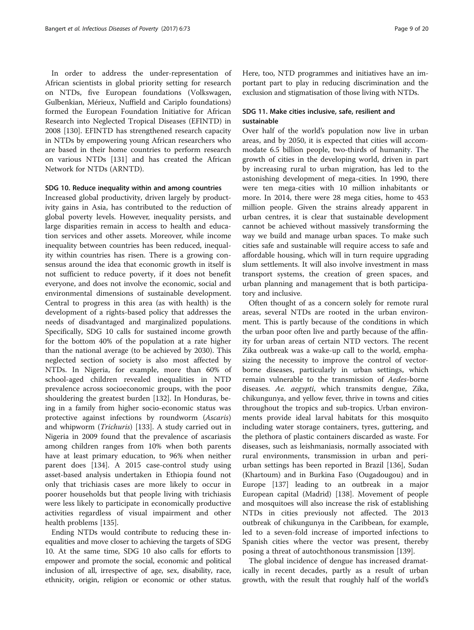In order to address the under-representation of African scientists in global priority setting for research on NTDs, five European foundations (Volkswagen, Gulbenkian, Mérieux, Nuffield and Cariplo foundations) formed the European Foundation Initiative for African Research into Neglected Tropical Diseases (EFINTD) in 2008 [\[130\]](#page-18-0). EFINTD has strengthened research capacity in NTDs by empowering young African researchers who are based in their home countries to perform research on various NTDs [\[131](#page-18-0)] and has created the African Network for NTDs (ARNTD).

#### SDG 10. Reduce inequality within and among countries

Increased global productivity, driven largely by productivity gains in Asia, has contributed to the reduction of global poverty levels. However, inequality persists, and large disparities remain in access to health and education services and other assets. Moreover, while income inequality between countries has been reduced, inequality within countries has risen. There is a growing consensus around the idea that economic growth in itself is not sufficient to reduce poverty, if it does not benefit everyone, and does not involve the economic, social and environmental dimensions of sustainable development. Central to progress in this area (as with health) is the development of a rights-based policy that addresses the needs of disadvantaged and marginalized populations. Specifically, SDG 10 calls for sustained income growth for the bottom 40% of the population at a rate higher than the national average (to be achieved by 2030). This neglected section of society is also most affected by NTDs. In Nigeria, for example, more than 60% of school-aged children revealed inequalities in NTD prevalence across socioeconomic groups, with the poor shouldering the greatest burden [\[132](#page-18-0)]. In Honduras, being in a family from higher socio-economic status was protective against infections by roundworm (Ascaris) and whipworm (Trichuris) [\[133](#page-18-0)]. A study carried out in Nigeria in 2009 found that the prevalence of ascariasis among children ranges from 10% when both parents have at least primary education, to 96% when neither parent does [[134](#page-18-0)]. A 2015 case-control study using asset-based analysis undertaken in Ethiopia found not only that trichiasis cases are more likely to occur in poorer households but that people living with trichiasis were less likely to participate in economically productive activities regardless of visual impairment and other health problems [[135\]](#page-18-0).

Ending NTDs would contribute to reducing these inequalities and move closer to achieving the targets of SDG 10. At the same time, SDG 10 also calls for efforts to empower and promote the social, economic and political inclusion of all, irrespective of age, sex, disability, race, ethnicity, origin, religion or economic or other status. Here, too, NTD programmes and initiatives have an important part to play in reducing discrimination and the exclusion and stigmatisation of those living with NTDs.

# SDG 11. Make cities inclusive, safe, resilient and sustainable

Over half of the world's population now live in urban areas, and by 2050, it is expected that cities will accommodate 6.5 billion people, two-thirds of humanity. The growth of cities in the developing world, driven in part by increasing rural to urban migration, has led to the astonishing development of mega-cities. In 1990, there were ten mega-cities with 10 million inhabitants or more. In 2014, there were 28 mega cities, home to 453 million people. Given the strains already apparent in urban centres, it is clear that sustainable development cannot be achieved without massively transforming the way we build and manage urban spaces. To make such cities safe and sustainable will require access to safe and affordable housing, which will in turn require upgrading slum settlements. It will also involve investment in mass transport systems, the creation of green spaces, and urban planning and management that is both participatory and inclusive.

Often thought of as a concern solely for remote rural areas, several NTDs are rooted in the urban environment. This is partly because of the conditions in which the urban poor often live and partly because of the affinity for urban areas of certain NTD vectors. The recent Zika outbreak was a wake-up call to the world, emphasizing the necessity to improve the control of vectorborne diseases, particularly in urban settings, which remain vulnerable to the transmission of Aedes-borne diseases. Ae. aegypti, which transmits dengue, Zika, chikungunya, and yellow fever, thrive in towns and cities throughout the tropics and sub-tropics. Urban environments provide ideal larval habitats for this mosquito including water storage containers, tyres, guttering, and the plethora of plastic containers discarded as waste. For diseases, such as leishmaniasis, normally associated with rural environments, transmission in urban and periurban settings has been reported in Brazil [\[136\]](#page-18-0), Sudan (Khartoum) and in Burkina Faso (Ougadougou) and in Europe [\[137\]](#page-18-0) leading to an outbreak in a major European capital (Madrid) [[138](#page-18-0)]. Movement of people and mosquitoes will also increase the risk of establishing NTDs in cities previously not affected. The 2013 outbreak of chikungunya in the Caribbean, for example, led to a seven-fold increase of imported infections to Spanish cities where the vector was present, thereby posing a threat of autochthonous transmission [[139](#page-18-0)].

The global incidence of dengue has increased dramatically in recent decades, partly as a result of urban growth, with the result that roughly half of the world's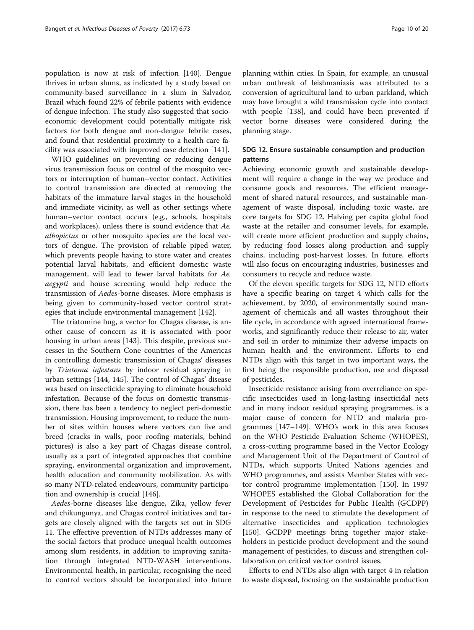population is now at risk of infection [\[140](#page-18-0)]. Dengue thrives in urban slums, as indicated by a study based on community-based surveillance in a slum in Salvador, Brazil which found 22% of febrile patients with evidence of dengue infection. The study also suggested that socioeconomic development could potentially mitigate risk factors for both dengue and non-dengue febrile cases, and found that residential proximity to a health care facility was associated with improved case detection [\[141](#page-18-0)].

WHO guidelines on preventing or reducing dengue virus transmission focus on control of the mosquito vectors or interruption of human–vector contact. Activities to control transmission are directed at removing the habitats of the immature larval stages in the household and immediate vicinity, as well as other settings where human–vector contact occurs (e.g., schools, hospitals and workplaces), unless there is sound evidence that Ae. albopictus or other mosquito species are the local vectors of dengue. The provision of reliable piped water, which prevents people having to store water and creates potential larval habitats, and efficient domestic waste management, will lead to fewer larval habitats for Ae. aegypti and house screening would help reduce the transmission of Aedes-borne diseases. More emphasis is being given to community-based vector control strategies that include environmental management [\[142\]](#page-18-0).

The triatomine bug, a vector for Chagas disease, is another cause of concern as it is associated with poor housing in urban areas [\[143](#page-18-0)]. This despite, previous successes in the Southern Cone countries of the Americas in controlling domestic transmission of Chagas' diseases by Triatoma infestans by indoor residual spraying in urban settings [\[144, 145\]](#page-18-0). The control of Chagas' disease was based on insecticide spraying to eliminate household infestation. Because of the focus on domestic transmission, there has been a tendency to neglect peri-domestic transmission. Housing improvement, to reduce the number of sites within houses where vectors can live and breed (cracks in walls, poor roofing materials, behind pictures) is also a key part of Chagas disease control, usually as a part of integrated approaches that combine spraying, environmental organization and improvement, health education and community mobilization. As with so many NTD-related endeavours, community participation and ownership is crucial [[146\]](#page-18-0).

Aedes-borne diseases like dengue, Zika, yellow fever and chikungunya, and Chagas control initiatives and targets are closely aligned with the targets set out in SDG 11. The effective prevention of NTDs addresses many of the social factors that produce unequal health outcomes among slum residents, in addition to improving sanitation through integrated NTD-WASH interventions. Environmental health, in particular, recognising the need to control vectors should be incorporated into future planning within cities. In Spain, for example, an unusual urban outbreak of leishmaniasis was attributed to a conversion of agricultural land to urban parkland, which may have brought a wild transmission cycle into contact with people [[138\]](#page-18-0), and could have been prevented if vector borne diseases were considered during the planning stage.

#### SDG 12. Ensure sustainable consumption and production patterns

Achieving economic growth and sustainable development will require a change in the way we produce and consume goods and resources. The efficient management of shared natural resources, and sustainable management of waste disposal, including toxic waste, are core targets for SDG 12. Halving per capita global food waste at the retailer and consumer levels, for example, will create more efficient production and supply chains, by reducing food losses along production and supply chains, including post-harvest losses. In future, efforts will also focus on encouraging industries, businesses and consumers to recycle and reduce waste.

Of the eleven specific targets for SDG 12, NTD efforts have a specific bearing on target 4 which calls for the achievement, by 2020, of environmentally sound management of chemicals and all wastes throughout their life cycle, in accordance with agreed international frameworks, and significantly reduce their release to air, water and soil in order to minimize their adverse impacts on human health and the environment. Efforts to end NTDs align with this target in two important ways, the first being the responsible production, use and disposal of pesticides.

Insecticide resistance arising from overreliance on specific insecticides used in long-lasting insecticidal nets and in many indoor residual spraying programmes, is a major cause of concern for NTD and malaria programmes [[147](#page-18-0)–[149](#page-18-0)]. WHO's work in this area focuses on the WHO Pesticide Evaluation Scheme (WHOPES), a cross-cutting programme based in the Vector Ecology and Management Unit of the Department of Control of NTDs, which supports United Nations agencies and WHO programmes, and assists Member States with vector control programme implementation [[150](#page-18-0)]. In 1997 WHOPES established the Global Collaboration for the Development of Pesticides for Public Health (GCDPP) in response to the need to stimulate the development of alternative insecticides and application technologies [[150\]](#page-18-0). GCDPP meetings bring together major stakeholders in pesticide product development and the sound management of pesticides, to discuss and strengthen collaboration on critical vector control issues.

Efforts to end NTDs also align with target 4 in relation to waste disposal, focusing on the sustainable production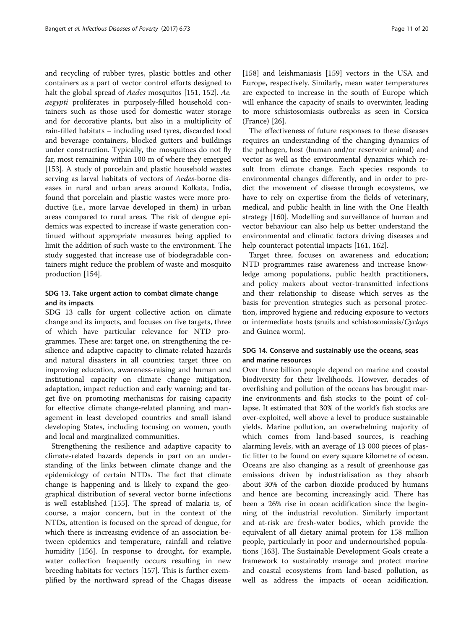and recycling of rubber tyres, plastic bottles and other containers as a part of vector control efforts designed to halt the global spread of Aedes mosquitos [[151](#page-18-0), [152](#page-18-0)]. Ae. aegypti proliferates in purposely-filled household containers such as those used for domestic water storage and for decorative plants, but also in a multiplicity of rain-filled habitats – including used tyres, discarded food and beverage containers, blocked gutters and buildings under construction. Typically, the mosquitoes do not fly far, most remaining within 100 m of where they emerged [[153\]](#page-18-0). A study of porcelain and plastic household wastes serving as larval habitats of vectors of Aedes-borne diseases in rural and urban areas around Kolkata, India, found that porcelain and plastic wastes were more productive (i.e., more larvae developed in them) in urban areas compared to rural areas. The risk of dengue epidemics was expected to increase if waste generation continued without appropriate measures being applied to limit the addition of such waste to the environment. The study suggested that increase use of biodegradable containers might reduce the problem of waste and mosquito production [[154\]](#page-18-0).

#### SDG 13. Take urgent action to combat climate change and its impacts

SDG 13 calls for urgent collective action on climate change and its impacts, and focuses on five targets, three of which have particular relevance for NTD programmes. These are: target one, on strengthening the resilience and adaptive capacity to climate-related hazards and natural disasters in all countries; target three on improving education, awareness-raising and human and institutional capacity on climate change mitigation, adaptation, impact reduction and early warning; and target five on promoting mechanisms for raising capacity for effective climate change-related planning and management in least developed countries and small island developing States, including focusing on women, youth and local and marginalized communities.

Strengthening the resilience and adaptive capacity to climate-related hazards depends in part on an understanding of the links between climate change and the epidemiology of certain NTDs. The fact that climate change is happening and is likely to expand the geographical distribution of several vector borne infections is well established [\[155](#page-18-0)]. The spread of malaria is, of course, a major concern, but in the context of the NTDs, attention is focused on the spread of dengue, for which there is increasing evidence of an association between epidemics and temperature, rainfall and relative humidity [\[156\]](#page-18-0). In response to drought, for example, water collection frequently occurs resulting in new breeding habitats for vectors [\[157](#page-18-0)]. This is further exemplified by the northward spread of the Chagas disease

[[158\]](#page-18-0) and leishmaniasis [\[159\]](#page-19-0) vectors in the USA and Europe, respectively. Similarly, mean water temperatures are expected to increase in the south of Europe which will enhance the capacity of snails to overwinter, leading to more schistosomiasis outbreaks as seen in Corsica (France) [[26](#page-16-0)].

The effectiveness of future responses to these diseases requires an understanding of the changing dynamics of the pathogen, host (human and/or reservoir animal) and vector as well as the environmental dynamics which result from climate change. Each species responds to environmental changes differently, and in order to predict the movement of disease through ecosystems, we have to rely on expertise from the fields of veterinary, medical, and public health in line with the One Health strategy [[160\]](#page-19-0). Modelling and surveillance of human and vector behaviour can also help us better understand the environmental and climatic factors driving diseases and help counteract potential impacts [\[161](#page-19-0), [162\]](#page-19-0).

Target three, focuses on awareness and education; NTD programmes raise awareness and increase knowledge among populations, public health practitioners, and policy makers about vector-transmitted infections and their relationship to disease which serves as the basis for prevention strategies such as personal protection, improved hygiene and reducing exposure to vectors or intermediate hosts (snails and schistosomiasis/Cyclops and Guinea worm).

# SDG 14. Conserve and sustainably use the oceans, seas and marine resources

Over three billion people depend on marine and coastal biodiversity for their livelihoods. However, decades of overfishing and pollution of the oceans has brought marine environments and fish stocks to the point of collapse. It estimated that 30% of the world's fish stocks are over-exploited, well above a level to produce sustainable yields. Marine pollution, an overwhelming majority of which comes from land-based sources, is reaching alarming levels, with an average of 13 000 pieces of plastic litter to be found on every square kilometre of ocean. Oceans are also changing as a result of greenhouse gas emissions driven by industrialisation as they absorb about 30% of the carbon dioxide produced by humans and hence are becoming increasingly acid. There has been a 26% rise in ocean acidification since the beginning of the industrial revolution. Similarly important and at-risk are fresh-water bodies, which provide the equivalent of all dietary animal protein for 158 million people, particularly in poor and undernourished populations [\[163\]](#page-19-0). The Sustainable Development Goals create a framework to sustainably manage and protect marine and coastal ecosystems from land-based pollution, as well as address the impacts of ocean acidification.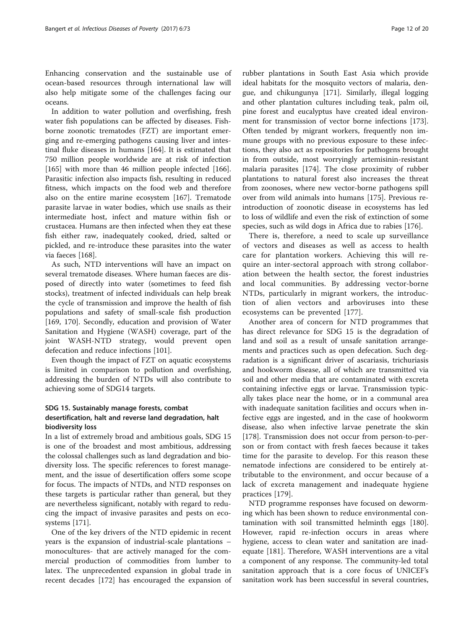Enhancing conservation and the sustainable use of ocean-based resources through international law will also help mitigate some of the challenges facing our oceans.

In addition to water pollution and overfishing, fresh water fish populations can be affected by diseases. Fishborne zoonotic trematodes (FZT) are important emerging and re-emerging pathogens causing liver and intestinal fluke diseases in humans [\[164](#page-19-0)]. It is estimated that 750 million people worldwide are at risk of infection [[165\]](#page-19-0) with more than 46 million people infected [\[166](#page-19-0)]. Parasitic infection also impacts fish, resulting in reduced fitness, which impacts on the food web and therefore also on the entire marine ecosystem [[167\]](#page-19-0). Trematode parasite larvae in water bodies, which use snails as their intermediate host, infect and mature within fish or crustacea. Humans are then infected when they eat these fish either raw, inadequately cooked, dried, salted or pickled, and re-introduce these parasites into the water via faeces [[168](#page-19-0)].

As such, NTD interventions will have an impact on several trematode diseases. Where human faeces are disposed of directly into water (sometimes to feed fish stocks), treatment of infected individuals can help break the cycle of transmission and improve the health of fish populations and safety of small-scale fish production [[169, 170\]](#page-19-0). Secondly, education and provision of Water Sanitation and Hygiene (WASH) coverage, part of the joint WASH-NTD strategy, would prevent open defecation and reduce infections [[101\]](#page-17-0).

Even though the impact of FZT on aquatic ecosystems is limited in comparison to pollution and overfishing, addressing the burden of NTDs will also contribute to achieving some of SDG14 targets.

# SDG 15. Sustainably manage forests, combat desertification, halt and reverse land degradation, halt biodiversity loss

In a list of extremely broad and ambitious goals, SDG 15 is one of the broadest and most ambitious, addressing the colossal challenges such as land degradation and biodiversity loss. The specific references to forest management, and the issue of desertification offers some scope for focus. The impacts of NTDs, and NTD responses on these targets is particular rather than general, but they are nevertheless significant, notably with regard to reducing the impact of invasive parasites and pests on ecosystems [\[171\]](#page-19-0).

One of the key drivers of the NTD epidemic in recent years is the expansion of industrial-scale plantations – monocultures- that are actively managed for the commercial production of commodities from lumber to latex. The unprecedented expansion in global trade in recent decades [[172](#page-19-0)] has encouraged the expansion of

rubber plantations in South East Asia which provide ideal habitats for the mosquito vectors of malaria, dengue, and chikungunya [\[171](#page-19-0)]. Similarly, illegal logging and other plantation cultures including teak, palm oil, pine forest and eucalyptus have created ideal environment for transmission of vector borne infections [[173](#page-19-0)]. Often tended by migrant workers, frequently non immune groups with no previous exposure to these infections, they also act as repositories for pathogens brought in from outside, most worryingly artemisinin-resistant malaria parasites [\[174\]](#page-19-0). The close proximity of rubber plantations to natural forest also increases the threat from zoonoses, where new vector-borne pathogens spill over from wild animals into humans [[175](#page-19-0)]. Previous reintroduction of zoonotic disease in ecosystems has led to loss of wildlife and even the risk of extinction of some species, such as wild dogs in Africa due to rabies [\[176](#page-19-0)].

There is, therefore, a need to scale up surveillance of vectors and diseases as well as access to health care for plantation workers. Achieving this will require an inter-sectoral approach with strong collaboration between the health sector, the forest industries and local communities. By addressing vector-borne NTDs, particularly in migrant workers, the introduction of alien vectors and arboviruses into these ecosystems can be prevented [[177\]](#page-19-0).

Another area of concern for NTD programmes that has direct relevance for SDG 15 is the degradation of land and soil as a result of unsafe sanitation arrangements and practices such as open defecation. Such degradation is a significant driver of ascariasis, trichuriasis and hookworm disease, all of which are transmitted via soil and other media that are contaminated with excreta containing infective eggs or larvae. Transmission typically takes place near the home, or in a communal area with inadequate sanitation facilities and occurs when infective eggs are ingested, and in the case of hookworm disease, also when infective larvae penetrate the skin [[178\]](#page-19-0). Transmission does not occur from person-to-person or from contact with fresh faeces because it takes time for the parasite to develop. For this reason these nematode infections are considered to be entirely attributable to the environment, and occur because of a lack of excreta management and inadequate hygiene practices [[179\]](#page-19-0).

NTD programme responses have focused on deworming which has been shown to reduce environmental contamination with soil transmitted helminth eggs [[180](#page-19-0)]. However, rapid re-infection occurs in areas where hygiene, access to clean water and sanitation are inadequate [\[181\]](#page-19-0). Therefore, WASH interventions are a vital a component of any response. The community-led total sanitation approach that is a core focus of UNICEF's sanitation work has been successful in several countries,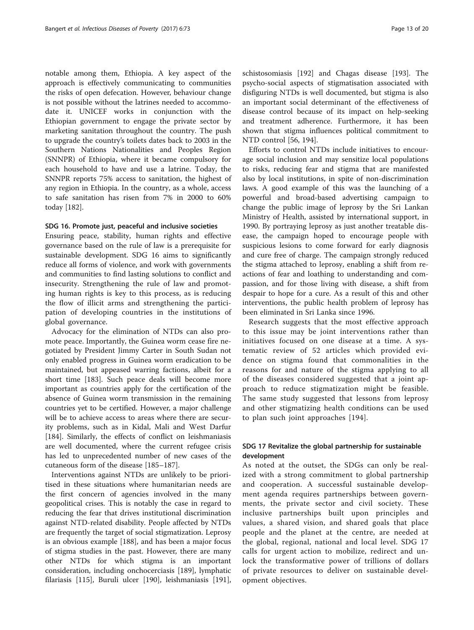notable among them, Ethiopia. A key aspect of the approach is effectively communicating to communities the risks of open defecation. However, behaviour change is not possible without the latrines needed to accommodate it. UNICEF works in conjunction with the Ethiopian government to engage the private sector by marketing sanitation throughout the country. The push to upgrade the country's toilets dates back to 2003 in the Southern Nations Nationalities and Peoples Region (SNNPR) of Ethiopia, where it became compulsory for each household to have and use a latrine. Today, the SNNPR reports 75% access to sanitation, the highest of any region in Ethiopia. In the country, as a whole, access to safe sanitation has risen from 7% in 2000 to 60% today [\[182\]](#page-19-0).

#### SDG 16. Promote just, peaceful and inclusive societies

Ensuring peace, stability, human rights and effective governance based on the rule of law is a prerequisite for sustainable development. SDG 16 aims to significantly reduce all forms of violence, and work with governments and communities to find lasting solutions to conflict and insecurity. Strengthening the rule of law and promoting human rights is key to this process, as is reducing the flow of illicit arms and strengthening the participation of developing countries in the institutions of global governance.

Advocacy for the elimination of NTDs can also promote peace. Importantly, the Guinea worm cease fire negotiated by President Jimmy Carter in South Sudan not only enabled progress in Guinea worm eradication to be maintained, but appeased warring factions, albeit for a short time [\[183](#page-19-0)]. Such peace deals will become more important as countries apply for the certification of the absence of Guinea worm transmission in the remaining countries yet to be certified. However, a major challenge will be to achieve access to areas where there are security problems, such as in Kidal, Mali and West Darfur [[184\]](#page-19-0). Similarly, the effects of conflict on leishmaniasis are well documented, where the current refugee crisis has led to unprecedented number of new cases of the cutaneous form of the disease [\[185](#page-19-0)–[187\]](#page-19-0).

Interventions against NTDs are unlikely to be prioritised in these situations where humanitarian needs are the first concern of agencies involved in the many geopolitical crises. This is notably the case in regard to reducing the fear that drives institutional discrimination against NTD-related disability. People affected by NTDs are frequently the target of social stigmatization. Leprosy is an obvious example [\[188\]](#page-19-0), and has been a major focus of stigma studies in the past. However, there are many other NTDs for which stigma is an important consideration, including onchocerciasis [\[189](#page-19-0)], lymphatic filariasis [\[115](#page-18-0)], Buruli ulcer [[190\]](#page-19-0), leishmaniasis [\[191](#page-19-0)], schistosomiasis [[192](#page-19-0)] and Chagas disease [\[193\]](#page-19-0). The psycho-social aspects of stigmatisation associated with disfiguring NTDs is well documented, but stigma is also an important social determinant of the effectiveness of disease control because of its impact on help-seeking and treatment adherence. Furthermore, it has been shown that stigma influences political commitment to NTD control [[56,](#page-16-0) [194](#page-19-0)].

Efforts to control NTDs include initiatives to encourage social inclusion and may sensitize local populations to risks, reducing fear and stigma that are manifested also by local institutions, in spite of non-discrimination laws. A good example of this was the launching of a powerful and broad-based advertising campaign to change the public image of leprosy by the Sri Lankan Ministry of Health, assisted by international support, in 1990. By portraying leprosy as just another treatable disease, the campaign hoped to encourage people with suspicious lesions to come forward for early diagnosis and cure free of charge. The campaign strongly reduced the stigma attached to leprosy, enabling a shift from reactions of fear and loathing to understanding and compassion, and for those living with disease, a shift from despair to hope for a cure. As a result of this and other interventions, the public health problem of leprosy has been eliminated in Sri Lanka since 1996.

Research suggests that the most effective approach to this issue may be joint interventions rather than initiatives focused on one disease at a time. A systematic review of 52 articles which provided evidence on stigma found that commonalities in the reasons for and nature of the stigma applying to all of the diseases considered suggested that a joint approach to reduce stigmatization might be feasible. The same study suggested that lessons from leprosy and other stigmatizing health conditions can be used to plan such joint approaches [[194](#page-19-0)].

#### SDG 17 Revitalize the global partnership for sustainable development

As noted at the outset, the SDGs can only be realized with a strong commitment to global partnership and cooperation. A successful sustainable development agenda requires partnerships between governments, the private sector and civil society. These inclusive partnerships built upon principles and values, a shared vision, and shared goals that place people and the planet at the centre, are needed at the global, regional, national and local level. SDG 17 calls for urgent action to mobilize, redirect and unlock the transformative power of trillions of dollars of private resources to deliver on sustainable development objectives.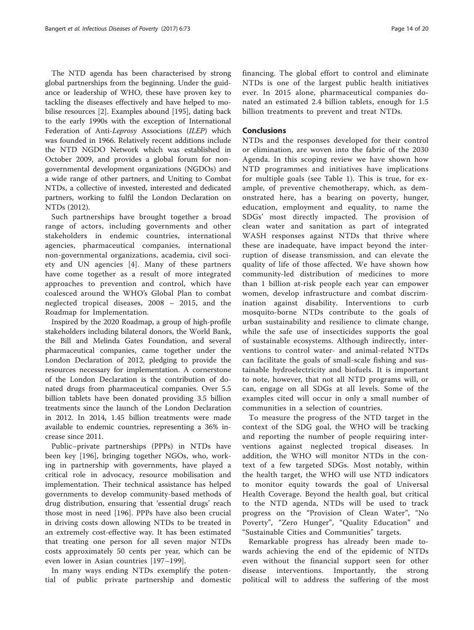The NTD agenda has been characterised by strong global partnerships from the beginning. Under the guidance or leadership of WHO, these have proven key to tackling the diseases effectively and have helped to mobilise resources [\[2](#page-15-0)]. Examples abound [\[195](#page-19-0)], dating back to the early 1990s with the exception of International Federation of Anti-Leprosy Associations (ILEP) which was founded in 1966. Relatively recent additions include the NTD NGDO Network which was established in October 2009, and provides a global forum for nongovernmental development organizations (NGDOs) and a wide range of other partners, and Uniting to Combat NTDs, a collective of invested, interested and dedicated partners, working to fulfil the London Declaration on NTDs (2012).

Such partnerships have brought together a broad range of actors, including governments and other stakeholders in endemic countries, international agencies, pharmaceutical companies, international non-governmental organizations, academia, civil society and UN agencies [[4\]](#page-15-0). Many of these partners have come together as a result of more integrated approaches to prevention and control, which have coalesced around the WHO's Global Plan to combat neglected tropical diseases, 2008 – 2015, and the Roadmap for Implementation.

Inspired by the 2020 Roadmap, a group of high-profile stakeholders including bilateral donors, the World Bank, the Bill and Melinda Gates Foundation, and several pharmaceutical companies, came together under the London Declaration of 2012, pledging to provide the resources necessary for implementation. A cornerstone of the London Declaration is the contribution of donated drugs from pharmaceutical companies. Over 5.5 billion tablets have been donated providing 3.5 billion treatments since the launch of the London Declaration in 2012. In 2014, 1.45 billion treatments were made available to endemic countries, representing a 36% increase since 2011.

Public–private partnerships (PPPs) in NTDs have been key [\[196](#page-19-0)], bringing together NGOs, who, working in partnership with governments, have played a critical role in advocacy, resource mobilisation and implementation. Their technical assistance has helped governments to develop community-based methods of drug distribution, ensuring that 'essential drugs' reach those most in need [[196\]](#page-19-0). PPPs have also been crucial in driving costs down allowing NTDs to be treated in an extremely cost-effective way. It has been estimated that treating one person for all seven major NTDs costs approximately 50 cents per year, which can be even lower in Asian countries [\[197](#page-19-0)–[199](#page-19-0)].

In many ways ending NTDs exemplify the potential of public private partnership and domestic financing. The global effort to control and eliminate NTDs is one of the largest public health initiatives ever. In 2015 alone, pharmaceutical companies donated an estimated 2.4 billion tablets, enough for 1.5 billion treatments to prevent and treat NTDs.

# Conclusions

NTDs and the responses developed for their control or elimination, are woven into the fabric of the 2030 Agenda. In this scoping review we have shown how NTD programmes and initiatives have implications for multiple goals (see Table [1](#page-14-0)). This is true, for example, of preventive chemotherapy, which, as demonstrated here, has a bearing on poverty, hunger, education, employment and equality, to name the SDGs' most directly impacted. The provision of clean water and sanitation as part of integrated WASH responses against NTDs that thrive where these are inadequate, have impact beyond the interruption of disease transmission, and can elevate the quality of life of those affected. We have shown how community-led distribution of medicines to more than 1 billion at-risk people each year can empower women, develop infrastructure and combat discrimination against disability. Interventions to curb mosquito-borne NTDs contribute to the goals of urban sustainability and resilience to climate change, while the safe use of insecticides supports the goal of sustainable ecosystems. Although indirectly, interventions to control water- and animal-related NTDs can facilitate the goals of small-scale fishing and sustainable hydroelectricity and biofuels. It is important to note, however, that not all NTD programs will, or can, engage on all SDGs at all levels. Some of the examples cited will occur in only a small number of communities in a selection of countries.

To measure the progress of the NTD target in the context of the SDG goal, the WHO will be tracking and reporting the number of people requiring interventions against neglected tropical diseases. In addition, the WHO will monitor NTDs in the context of a few targeted SDGs. Most notably, within the health target, the WHO will use NTD indicators to monitor equity towards the goal of Universal Health Coverage. Beyond the health goal, but critical to the NTD agenda, NTDs will be used to track progress on the "Provision of Clean Water", "No Poverty", "Zero Hunger", "Quality Education" and "Sustainable Cities and Communities" targets.

Remarkable progress has already been made towards achieving the end of the epidemic of NTDs even without the financial support seen for other disease interventions. Importantly, the strong political will to address the suffering of the most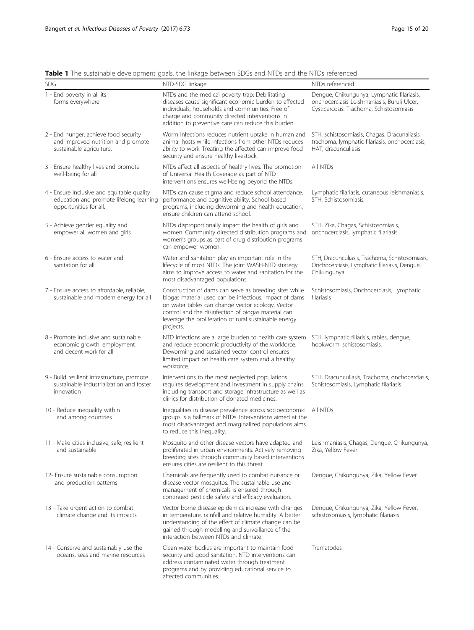<span id="page-14-0"></span>

|  | Table 1 The sustainable development goals, the linkage between SDGs and NTDs and the NTDs referenced |  |  |  |  |  |  |  |
|--|------------------------------------------------------------------------------------------------------|--|--|--|--|--|--|--|
|--|------------------------------------------------------------------------------------------------------|--|--|--|--|--|--|--|

|                                                                                                                 | <b>TWIC</b> THIS BUSINESS OCTOBILIST GOOD, THE IMINOGE DELIVEER DOGS AND TITLS AND THE TITLS TEICHICO                                                                                                                                                                                               |                                                                                                                                       |
|-----------------------------------------------------------------------------------------------------------------|-----------------------------------------------------------------------------------------------------------------------------------------------------------------------------------------------------------------------------------------------------------------------------------------------------|---------------------------------------------------------------------------------------------------------------------------------------|
| <b>SDG</b>                                                                                                      | NTD-SDG linkage                                                                                                                                                                                                                                                                                     | NTDs referenced                                                                                                                       |
| 1 - End poverty in all its<br>forms everywhere.                                                                 | NTDs and the medical poverty trap: Debilitating<br>diseases cause significant economic burden to affected<br>individuals, households and communities. Free of<br>charge and community directed interventions in<br>addition to preventive care can reduce this burden.                              | Dengue, Chikungunya, Lymphatic filariasis,<br>onchocerciasis Leishmaniasis, Buruli Ulcer,<br>Cysticercosis. Trachoma, Schistosomiasis |
| 2 - End hunger, achieve food security<br>and improved nutrition and promote<br>sustainable agriculture.         | Worm infections reduces nutrient uptake in human and<br>animal hosts while infections from other NTDs reduces<br>ability to work. Treating the affected can improve food<br>security and ensure healthy livestock.                                                                                  | STH, schistosomiasis, Chagas, Dracunaliasis,<br>trachoma, lymphatic filariasis, onchocerciasis,<br>HAT, dracunculiasis                |
| 3 - Ensure healthy lives and promote<br>well-being for all                                                      | NTDs affect all aspects of healthy lives. The promotion<br>of Universal Health Coverage as part of NTD<br>interventions ensures well-being beyond the NTDs.                                                                                                                                         | All NTDs                                                                                                                              |
| 4 - Ensure inclusive and equitable quality<br>education and promote lifelong learning<br>opportunities for all. | NTDs can cause stigma and reduce school attendance,<br>performance and cognitive ability. School based<br>programs, including deworming and health education,<br>ensure children can attend school.                                                                                                 | Lymphatic filariasis, cutaneous leishmaniasis,<br>STH, Schistosomiasis,                                                               |
| 5 - Achieve gender equality and<br>empower all women and girls                                                  | NTDs disproportionally impact the health of girls and<br>women. Community directed distribution programs and<br>women's groups as part of drug distribution programs<br>can empower women.                                                                                                          | STH, Zika, Chagas, Schistosomiasis,<br>onchocerciasis, lymphatic filariasis                                                           |
| 6 - Ensure access to water and<br>sanitation for all.                                                           | Water and sanitation play an important role in the<br>lifecycle of most NTDs. The joint WASH-NTD strategy<br>aims to improve access to water and sanitation for the<br>most disadvantaged populations.                                                                                              | STH, Dracunculiasis, Trachoma, Schistosomiasis,<br>Onchocerciasis, Lymphatic filariasis, Dengue,<br>Chikungunya                       |
| 7 - Ensure access to affordable, reliable,<br>sustainable and modern energy for all                             | Construction of dams can serve as breeding sites while<br>biogas material used can be infectious. Impact of dams<br>on water tables can change vector ecology. Vector<br>control and the disinfection of biogas material can<br>leverage the proliferation of rural sustainable energy<br>projects. | Schistosomiasis, Onchocerciasis, Lymphatic<br>filariasis                                                                              |
| 8 - Promote inclusive and sustainable<br>economic growth, employment<br>and decent work for all                 | NTD infections are a large burden to health care system<br>and reduce economic productivity of the workforce.<br>Deworming and sustained vector control ensures<br>limited impact on health care system and a healthy<br>workforce.                                                                 | STH, lymphatic filiarisis, rabies, dengue,<br>hookworm, schistosomiasis,                                                              |
| 9 - Build resilient infrastructure, promote<br>sustainable industrialization and foster<br>innovation           | Interventions to the most neglected populations<br>requires development and investment in supply chains<br>including transport and storage infrastructure as well as<br>clinics for distribution of donated medicines.                                                                              | STH, Dracunculiasis, Trachoma, onchocerciasis,<br>Schistosomiasis, Lymphatic filariasis                                               |
| 10 - Reduce inequality within<br>and among countries.                                                           | Inequalities in disease prevalence across socioeconomic All NTDs<br>groups is a hallmark of NTDs. Interventions aimed at the<br>most disadvantaged and marginalized populations aims<br>to reduce this inequality.                                                                                  |                                                                                                                                       |
| 11 - Make cities inclusive, safe, resilient<br>and sustainable                                                  | Mosquito and other disease vectors have adapted and<br>proliferated in urban environments. Actively removing<br>breeding sites through community based interventions<br>ensures cities are resilient to this threat.                                                                                | Leishmaniasis, Chagas, Dengue, Chikungunya,<br>Zika, Yellow Fever                                                                     |
| 12- Ensure sustainable consumption<br>and production patterns                                                   | Chemicals are frequently used to combat nuisance or<br>disease vector mosquitos. The sustainable use and<br>management of chemicals is ensured through<br>continued pesticide safety and efficacy evaluation.                                                                                       | Dengue, Chikungunya, Zika, Yellow Fever                                                                                               |
| 13 - Take urgent action to combat<br>climate change and its impacts                                             | Vector borne disease epidemics increase with changes<br>in temperature, rainfall and relative humidity. A better<br>understanding of the effect of climate change can be<br>gained through modelling and surveillance of the<br>interaction between NTDs and climate.                               | Dengue, Chikungunya, Zika, Yellow Fever,<br>schistosomiasis, lymphatic filariasis                                                     |
| 14 - Conserve and sustainably use the<br>oceans, seas and marine resources                                      | Clean water bodies are important to maintain food<br>security and good sanitation. NTD interventions can<br>address contaminated water through treatment<br>programs and by providing educational service to<br>affected communities.                                                               | Trematodes                                                                                                                            |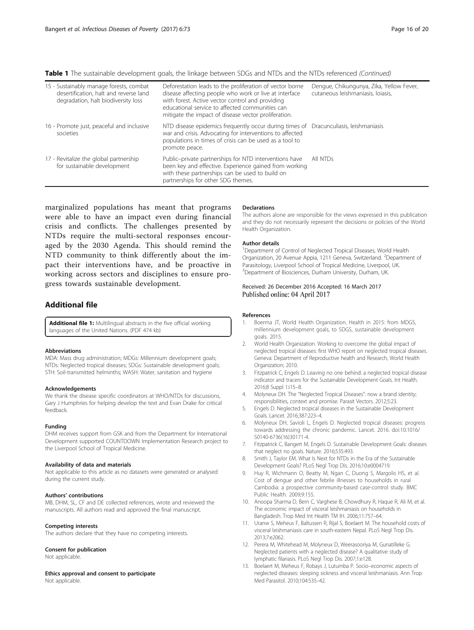<span id="page-15-0"></span>

| Table 1 The sustainable development goals, the linkage between SDGs and NTDs and the NTDs referenced (Continued) |  |
|------------------------------------------------------------------------------------------------------------------|--|
|------------------------------------------------------------------------------------------------------------------|--|

| 15 - Sustainably manage forests, combat<br>desertification, halt and reverse land<br>degradation, halt biodiversity loss | Deforestation leads to the proliferation of vector borne<br>disease affecting people who work or live at interface<br>with forest. Active vector control and providing<br>educational service to affected communities can<br>mitigate the impact of disease vector proliferation. | Dengue, Chikungunya, Zika, Yellow Fever,<br>cutaneous leishmaniasis, loiasis, |
|--------------------------------------------------------------------------------------------------------------------------|-----------------------------------------------------------------------------------------------------------------------------------------------------------------------------------------------------------------------------------------------------------------------------------|-------------------------------------------------------------------------------|
| 16 - Promote just, peaceful and inclusive<br>societies                                                                   | NTD disease epidemics frequently occur during times of Dracunculiasis, leishmaniasis<br>war and crisis. Advocating for interventions to affected<br>populations in times of crisis can be used as a tool to<br>promote peace.                                                     |                                                                               |
| 17 - Revitalize the global partnership<br>for sustainable development                                                    | Public-private partnerships for NTD interventions have<br>been key and effective. Experience gained from working<br>with these partnerships can be used to build on<br>partnerships for other SDG themes.                                                                         | All NTDs                                                                      |

marginalized populations has meant that programs were able to have an impact even during financial crisis and conflicts. The challenges presented by NTDs require the multi-sectoral responses encouraged by the 2030 Agenda. This should remind the NTD community to think differently about the impact their interventions have, and be proactive in working across sectors and disciplines to ensure progress towards sustainable development.

# Additional file

[Additional file 1:](dx.doi.org/10.1186/s40249-017-0288-0) Multilingual abstracts in the five official working languages of the United Nations. (PDF 474 kb)

#### Abbreviations

MDA: Mass drug administration; MDGs: Millennium development goals; NTDs: Neglected tropical diseases; SDGs: Sustainable development goals; STH: Soil-transmitted helminths; WASH: Water, sanitation and hygiene

#### Acknowledgements

We thank the disease specific coordinators at WHO/NTDs for discussions, Gary J Humphries for helping develop the text and Evan Drake for critical feedback.

#### Funding

DHM receives support from GSK and from the Department for International Development supported COUNTDOWN Implementation Research project to the Liverpool School of Tropical Medicine.

#### Availability of data and materials

Not applicable to this article as no datasets were generated or analysed during the current study.

#### Authors' contributions

MB, DHM, SL, CF and DE collected references, wrote and reviewed the manuscripts. All authors read and approved the final manuscript.

#### Competing interests

The authors declare that they have no competing interests.

#### Consent for publication

#### Not applicable.

# Ethics approval and consent to participate

Not applicable.

#### Declarations

The authors alone are responsible for the views expressed in this publication and they do not necessarily represent the decisions or policies of the World Health Organization.

#### Author details

<sup>1</sup>Department of Control of Neglected Tropical Diseases, World Health Organization, 20 Avenue Appia, 1211 Geneva, Switzerland. <sup>2</sup>Department of Parasitology, Liverpool School of Tropical Medicine, Liverpool, UK. 3 Department of Biosciences, Durham University, Durham, UK.

#### Received: 26 December 2016 Accepted: 16 March 2017 Published online: 04 April 2017

#### References

- 1. Boerma JT, World Health Organization. Health in 2015: from MDGS, millennium development goals, to SDGS, sustainable development goals. 2015.
- 2. World Health Organization. Working to overcome the global impact of neglected tropical diseases: first WHO report on neglected tropical diseases. Geneva: Department of Reproductive health and Research, World Health Organization; 2010.
- 3. Fitzpatrick C, Engels D. Leaving no one behind: a neglected tropical disease indicator and tracers for the Sustainable Development Goals. Int Health. 2016;8 Suppl 1:i15–8.
- 4. Molyneux DH. The "Neglected Tropical Diseases": now a brand identity; responsibilities, context and promise. Parasit Vectors. 2012;5:23.
- 5. Engels D. Neglected tropical diseases in the Sustainable Development Goals. Lancet. 2016;387:223–4.
- 6. Molyneux DH, Savioli L, Engels D. Neglected tropical diseases: progress towards addressing the chronic pandemic. Lancet. 2016. doi[:10.1016/](http://dx.doi.org/10.1016/S0140-6736(16)30171-4) [S0140-6736\(16\)30171-4](http://dx.doi.org/10.1016/S0140-6736(16)30171-4).
- 7. Fitzpatrick C, Bangert M, Engels D. Sustainable Development Goals: diseases that neglect no goals. Nature. 2016;535:493.
- 8. Smith J, Taylor EM. What Is Next for NTDs in the Era of the Sustainable Development Goals? PLoS Negl Trop Dis. 2016;10:e0004719.
- 9. Huy R, Wichmann O, Beatty M, Ngan C, Duong S, Margolis HS, et al. Cost of dengue and other febrile illnesses to households in rural Cambodia: a prospective community-based case-control study. BMC Public Health. 2009;9:155.
- 10. Anoopa Sharma D, Bern C, Varghese B, Chowdhury R, Haque R, Ali M, et al. The economic impact of visceral leishmaniasis on households in Bangladesh. Trop Med Int Health TM IH. 2006;11:757–64.
- 11. Uranw S, Meheus F, Baltussen R, Rijal S, Boelaert M. The household costs of visceral leishmaniasis care in south-eastern Nepal. PLoS Negl Trop Dis. 2013;7:e2062.
- 12. Perera M, Whitehead M, Molyneux D, Weerasooriya M, Gunatilleke G. Neglected patients with a neglected disease? A qualitative study of lymphatic filariasis. PLoS Negl Trop Dis. 2007;1:e128.
- 13. Boelaert M, Meheus F, Robays J, Lutumba P. Socio–economic aspects of neglected diseases: sleeping sickness and visceral leishmaniasis. Ann Trop Med Parasitol. 2010;104:535–42.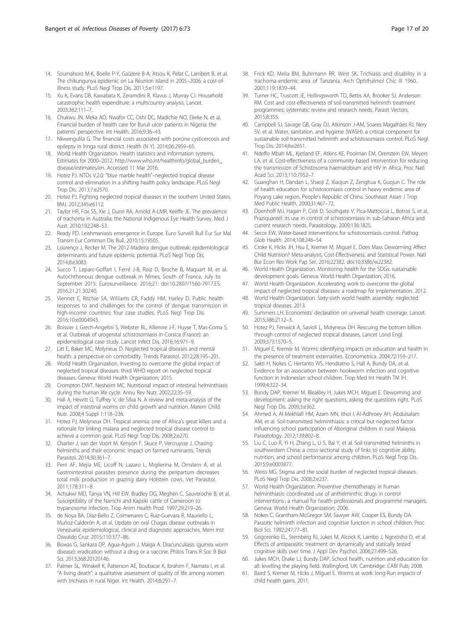- <span id="page-16-0"></span>14. Soumahoro M-K, Boelle P-Y, Gaüzere B-A, Atsou K, Pelat C, Lambert B, et al. The chikungunya epidemic on La Réunion Island in 2005–2006: a cost-ofillness study. PLoS Negl Trop Dis. 2011;5:e1197.
- 15. Xu K, Evans DB, Kawabata K, Zeramdini R, Klavus J, Murray CJ. Household catastrophic health expenditure: a multicountry analysis. Lancet. 2003;362:111–7.
- 16. Chukwu JN, Meka AO, Nwafor CC, Oshi DC, Madichie NO, Ekeke N, et al. Financial burden of health care for Buruli ulcer patients in Nigeria: the patients' perspective. Int Health. 2016;9:36–43.
- 17. Nkwengulila G. The financial costs associated with porcine cysticercosis and epilepsy in Iringa rural district. Health (N Y). 2014;06:2959–65.
- 18. World Health Organization. Health statistics and information systems. Estimates for 2000–2012. [http://www.who.int/healthinfo/global\\_burden\\_](http://www.who.int/healthinfo/global_burden_disease/estimates/en) [disease/estimates/en](http://www.who.int/healthinfo/global_burden_disease/estimates/en). Accessed 11 Mar 2016.
- 19. Hotez PJ. NTDs V.2.0: "blue marble health"–neglected tropical disease control and elimination in a shifting health policy landscape. PLoS Negl Trop Dis. 2013;7:e2570.
- 20. Hotez PJ. Fighting neglected tropical diseases in the southern United States. BMJ. 2012;345:e6112.
- 21. Taylor HR, Fox SS, Xie J, Dunn RA, Arnold A-LMR, Keeffe JE. The prevalence of trachoma in Australia: the National Indigenous Eye Health Survey. Med J Aust. 2010;192:248–53.
- 22. Ready PD. Leishmaniasis emergence in Europe. Euro Surveill Bull Eur Sur Mal Transm Eur Commun Dis Bull. 2010;15:19505.
- 23. Lourenço J, Recker M. The 2012 Madeira dengue outbreak: epidemiological determinants and future epidemic potential. PLoS Negl Trop Dis. 2014;8:e3083.
- 24. Succo T, Leparc-Goffart I, Ferré J-B, Roiz D, Broche B, Maquart M, et al. Autochthonous dengue outbreak in Nîmes, South of France, July to September 2015. Eurosurveillance. 2016;21: doi:[10.2807/1560-7917.ES.](http://dx.doi.org/10.2807/1560-7917.ES.2016.21.21.30240) [2016.21.21.30240.](http://dx.doi.org/10.2807/1560-7917.ES.2016.21.21.30240)
- 25. Viennet E, Ritchie SA, Williams CR, Faddy HM, Harley D. Public health responses to and challenges for the control of dengue transmission in high-income countries: four case studies. PLoS Negl Trop Dis. 2016;10:e0004943.
- 26. Boissier J, Grech-Angelini S, Webster BL, Allienne J-F, Huyse T, Mas-Coma S, et al. Outbreak of urogenital schistosomiasis in Corsica (France): an epidemiological case study. Lancet Infect Dis. 2016;16:971–9.
- 27. Litt E, Baker MC, Molyneux D. Neglected tropical diseases and mental health: a perspective on comorbidity. Trends Parasitol. 2012;28:195–201.
- 28. World Health Organization. Investing to overcome the global impact of neglected tropical diseases: third WHO report on neglected tropical diseases. Geneva: World Health Organization; 2015.
- 29. Crompton DWT, Nesheim MC. Nutritional impact of intestinal helminthiasis during the human life cycle. Annu Rev Nutr. 2002;22:35–59.
- 30. Hall A, Hewitt G, Tuffrey V, de Silva N. A review and meta-analysis of the impact of intestinal worms on child growth and nutrition. Matern Child Nutr. 2008;4 Suppl 1:118–236.
- 31. Hotez PJ, Molyneux DH. Tropical anemia: one of Africa's great killers and a rationale for linking malaria and neglected tropical disease control to achieve a common goal. PLoS Negl Trop Dis. 2008;2:e270.
- 32. Charlier J, van der Voort M, Kenyon F, Skuce P, Vercruysse J. Chasing helminths and their economic impact on farmed ruminants. Trends Parasitol. 2014;30:361–7.
- 33. Perri AF, Mejía ME, Licoff N, Lazaro L, Miglierina M, Ornstein A, et al. Gastrointestinal parasites presence during the peripartum decreases total milk production in grazing dairy Holstein cows. Vet Parasitol. 2011;178:311–8.
- 34. Achukwi MD, Tanya VN, Hill EW, Bradley DG, Meghen C, Sauveroche B, et al. Susceptibility of the Namchi and Kapsiki cattle of Cameroon to trypanosome infection. Trop Anim Health Prod. 1997;29:219–26.
- 35. de Noya BA, Díaz-Bello Z, Colmenares C, Ruiz-Guevara R, Mauriello L, Muñoz-Calderón A, et al. Update on oral Chagas disease outbreaks in Venezuela: epidemiological, clinical and diagnostic approaches. Mem Inst Oswaldo Cruz. 2015;110:377–86.
- 36. Biswas G, Sankara DP, Agua-Agum J, Maiga A. Dracunculiasis (guinea worm disease): eradication without a drug or a vaccine. Philos Trans R Soc B Biol Sci. 2013;368:20120146.
- 37. Palmer SL, Winskell K, Patterson AE, Boubacar K, Ibrahim F, Namata I, et al. "A living death": a qualitative assessment of quality of life among women with trichiasis in rural Niger. Int Health. 2014;6:291–7.
- 38. Frick KD, Melia BM, Buhrmann RR, West SK. Trichiasis and disability in a trachoma-endemic area of Tanzania. Arch Ophthalmol Chic Ill 1960. 2001;119:1839–44.
- 39. Turner HC, Truscott JE, Hollingsworth TD, Bettis AA, Brooker SJ, Anderson RM. Cost and cost-effectiveness of soil-transmitted helminth treatment programmes: systematic review and research needs. Parasit Vectors. 2015;8:355.
- 40. Campbell SJ, Savage GB, Gray DJ, Atkinson J-AM, Soares Magalhães RJ, Nery SV, et al. Water, sanitation, and hygiene (WASH): a critical component for sustainable soil-transmitted helminth and schistosomiasis control. PLoS Negl Trop Dis. 2014;8:e2651.
- 41. Ndeffo Mbah ML, Kjetland EF, Atkins KE, Poolman EM, Orenstein EW, Meyers LA, et al. Cost-effectiveness of a community-based intervention for reducing the transmission of Schistosoma haematobium and HIV in Africa. Proc Natl Acad Sci. 2013;110:7952–7.
- 42. Guanghan H, Dandan L, Shaoji Z, Xiaojun Z, Zenghua K, Guojun C. The role of health education for schistosomiasis control in heavy endemic area of Poyang Lake region, People's Republic of China. Southeast Asian J Trop Med Public Health. 2000;31:467–72.
- 43. Doenhoff MJ, Hagan P, Cioli D, Southgate V, Pica-Mattoccia L, Botros S, et al. Praziquantel: its use in control of schistosomiasis in sub-Saharan Africa and current research needs. Parasitology. 2009;136:1825.
- Secor EW. Water-based interventions for schistosomiasis control. Pathog Glob Health. 2014;108:246–54.
- 45. Croke K, Hicks JH, Hsu E, Kremer M, Miguel E. Does Mass Deworming Affect Child Nutrition? Meta-analysis, Cost-Effectiveness, and Statistical Power. Natl Bur Econ Res Work Pap Ser. 2016;22382. doi[:10.3386/w22382](http://dx.doi.org/10.3386/w22382).
- 46. World Health Organization. Monitoring health for the SDGs: sustainable development goals. Geneva: World Health Organization; 2016.
- 47. World Health Organization. Accelerating work to overcome the global impact of neglected tropical diseases: a roadmap for implementation. 2012.
- 48. World Health Organization. Sixty-sixth world health assembly: neglected tropical diseases. 2013.
- 49. Summers LH. Economists' declaration on universal health coverage. Lancet. 2015;386:2112–3.
- 50. Hotez PJ, Fenwick A, Savioli L, Molyneux DH. Rescuing the bottom billion through control of neglected tropical diseases. Lancet Lond Engl. 2009;373:1570–5.
- 51. Miguel E, Kremer M. Worms: identifying impacts on education and health in the presence of treatment externalities. Econometrica. 2004;72:159–217.
- 52. Sakti H, Nokes C, Hertanto WS, Hendratno S, Hall A, Bundy DA, et al. Evidence for an association between hookworm infection and cognitive function in Indonesian school children. Trop Med Int Health TM IH. 1999;4:322–34.
- 53. Bundy DAP, Kremer M, Bleakley H, Jukes MCH, Miguel E. Deworming and development: asking the right questions, asking the questions right. PLoS Negl Trop Dis. 2009;3:e362.
- 54. Ahmed A, Al-Mekhlafi HM, Azam MN, Ithoi I, Al-Adhroey AH, Abdulsalam AM, et al. Soil-transmitted helminthiasis: a critical but neglected factor influencing school participation of Aboriginal children in rural Malaysia. Parasitology. 2012;139:802–8.
- 55. Liu C, Luo R, Yi H, Zhang L, Li S, Bai Y, et al. Soil-transmitted helminths in southwestern China: a cross-sectional study of links to cognitive ability, nutrition, and school performance among children. PLoS Negl Trop Dis. 2015;9:e0003877.
- 56. Weiss MG. Stigma and the social burden of neglected tropical diseases. PLoS Negl Trop Dis. 2008;2:e237.
- 57. World Health Organization. Preventive chemotherapy in human helminthiasis: coordinated use of anthelminthic drugs in control interventions ; a manual for health professionals and programme managers. Geneva: World Health Organization; 2006.
- 58. Nokes C, Grantham-McGregor SM, Sawyer AW, Cooper ES, Bundy DA. Parasitic helminth infection and cognitive function in school children. Proc Biol Sci. 1992;247:77–81.
- 59. Grigorenko EL, Sternberg RJ, Jukes M, Alcock K, Lambo J, Ngorosho D, et al. Effects of antiparasitic treatment on dynamically and statically tested cognitive skills over time. J Appl Dev Psychol. 2006;27:499–526.
- 60. Jukes MCH, Drake LJ, Bundy DAP. School health, nutrition and education for all: levelling the playing field. Wallingford, UK. Cambridge: CABI Pub; 2008.
- 61. Baird S, Kremer M, Hicks J, Miguel E. Worms at work: long-Run impacts of child health gains. 2011.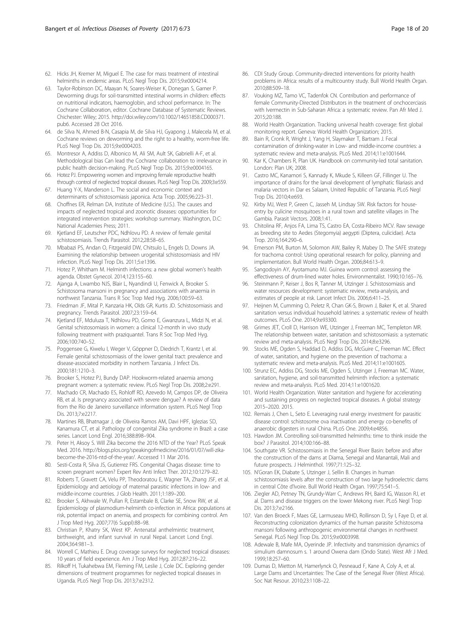- <span id="page-17-0"></span>62. Hicks JH, Kremer M, Miguel E. The case for mass treatment of intestinal helminths in endemic areas. PLoS Negl Trop Dis. 2015;9:e0004214.
- 63. Taylor-Robinson DC, Maayan N, Soares-Weiser K, Donegan S, Garner P. Deworming drugs for soil-transmitted intestinal worms in children: effects on nutritional indicators, haemoglobin, and school performance. In: The Cochrane Collaboration, editor. Cochrane Database of Systematic Reviews. Chichester: Wiley; 2015. [http://doi.wiley.com/10.1002/14651858.CD000371.](http://doi.wiley.com/10.1002/14651858.CD000371.pub6) [pub6.](http://doi.wiley.com/10.1002/14651858.CD000371.pub6) Accessed 28 Oct 2016.
- 64. de Silva N, Ahmed B-N, Casapia M, de Silva HJ, Gyapong J, Malecela M, et al. Cochrane reviews on deworming and the right to a healthy, worm-free life. PLoS Negl Trop Dis. 2015;9:e0004203.
- 65. Montresor A, Addiss D, Albonico M, Ali SM, Ault SK, Gabrielli A-F, et al. Methodological bias Can lead the Cochrane collaboration to irrelevance in public health decision-making. PLoS Negl Trop Dis. 2015;9:e0004165.
- 66. Hotez PJ. Empowering women and improving female reproductive health through control of neglected tropical diseases. PLoS Negl Trop Dis. 2009;3:e559.
- 67. Huang Y-X, Manderson L. The social and economic context and determinants of schistosomiasis japonica. Acta Trop. 2005;96:223–31.
- 68. Choffnes ER, Relman DA, Institute of Medicine (U.S.). The causes and impacts of neglected tropical and zoonotic diseases: opportunities for integrated intervention strategies: workshop summary. Washington, D.C: National Academies Press; 2011.
- 69. Kjetland EF, Leutscher PDC, Ndhlovu PD. A review of female genital schistosomiasis. Trends Parasitol. 2012;28:58–65.
- 70. Mbabazi PS, Andan O, Fitzgerald DW, Chitsulo L, Engels D, Downs JA. Examining the relationship between urogenital schistosomiasis and HIV infection. PLoS Negl Trop Dis. 2011;5:e1396.
- 71. Hotez P, Whitham M. Helminth infections: a new global women's health agenda. Obstet Gynecol. 2014;123:155–60.
- 72. Ajanga A, Lwambo NJS, Blair L, Nyandindi U, Fenwick A, Brooker S. Schistosoma mansoni in pregnancy and associations with anaemia in northwest Tanzania. Trans R Soc Trop Med Hyg. 2006;100:59–63.
- 73. Friedman JF, Mital P, Kanzaria HK, Olds GR, Kurtis JD. Schistosomiasis and pregnancy. Trends Parasitol. 2007;23:159–64.
- 74. Kjetland EF, Mduluza T, Ndhlovu PD, Gomo E, Gwanzura L, Midzi N, et al. Genital schistosomiasis in women: a clinical 12-month in vivo study following treatment with praziquantel. Trans R Soc Trop Med Hyg. 2006;100:740–52.
- 75. Poggensee G, Kiwelu I, Weger V, Göppner D, Diedrich T, Krantz I, et al. Female genital schistosomiasis of the lower genital tract: prevalence and disease-associated morbidity in northern Tanzania. J Infect Dis. 2000;181:1210–3.
- 76. Brooker S, Hotez PJ, Bundy DAP. Hookworm-related anaemia among pregnant women: a systematic review. PLoS Negl Trop Dis. 2008;2:e291.
- 77. Machado CR, Machado ES, Rohloff RD, Azevedo M, Campos DP, de Oliveira RB, et al. Is pregnancy associated with severe dengue? A review of data from the Rio de Janeiro surveillance information system. PLoS Negl Trop Dis. 2013;7:e2217.
- 78. Martines RB, Bhatnagar J, de Oliveira Ramos AM, Davi HPF, Iglezias SD, Kanamura CT, et al. Pathology of congenital Zika syndrome in Brazil: a case series. Lancet Lond Engl. 2016;388:898–904.
- 79. Peter H, Aksoy S. Will Zika become the 2016 NTD of the Year? PLoS Speak Med. 2016. [http://blogs.plos.org/speakingofmedicine/2016/01/07/will-zika](http://blogs.plos.org/speakingofmedicine/2016/01/07/will-zika-become-the-2016-ntd-of-the-year/)[become-the-2016-ntd-of-the-year/.](http://blogs.plos.org/speakingofmedicine/2016/01/07/will-zika-become-the-2016-ntd-of-the-year/) Accessed 11 Mar 2016.
- 80. Sesti-Costa R, Silva JS, Gutierrez FRS. Congenital Chagas disease: time to screen pregnant women? Expert Rev Anti Infect Ther. 2012;10:1279–82.
- 81. Roberts T, Gravett CA, Velu PP, Theodoratou E, Wagner TA, Zhang JSF, et al. Epidemiology and aetiology of maternal parasitic infections in low- and middle-income countries. J Glob Health. 2011;1:189–200.
- 82. Brooker S, Akhwale W, Pullan R, Estambale B, Clarke SE, Snow RW, et al. Epidemiology of plasmodium-helminth co-infection in Africa: populations at risk, potential impact on anemia, and prospects for combining control. Am J Trop Med Hyg. 2007;77(6 Suppl):88–98.
- 83. Christian P, Khatry SK, West KP. Antenatal anthelmintic treatment, birthweight, and infant survival in rural Nepal. Lancet Lond Engl. 2004;364:981–3.
- 84. Worrell C, Mathieu E. Drug coverage surveys for neglected tropical diseases: 10 years of field experience. Am J Trop Med Hyg. 2012;87:216–22.
- 85. Rilkoff H, Tukahebwa EM, Fleming FM, Leslie J, Cole DC. Exploring gender dimensions of treatment programmes for neglected tropical diseases in Uganda. PLoS Negl Trop Dis. 2013;7:e2312.
- 86. CDI Study Group. Community-directed interventions for priority health problems in Africa: results of a multicountry study. Bull World Health Organ. 2010;88:509–18.
- 87. Vouking MZ, Tamo VC, Tadenfok CN. Contribution and performance of female Community-Directed Distributors in the treatment of onchocerciasis with Ivermectin in Sub-Saharan Africa: a systematic review. Pan Afr Med J. 2015;20:188.
- 88. World Health Organization. Tracking universal health coverage: first global monitoring report. Geneva: World Health Organization; 2015.
- 89. Bain R, Cronk R, Wright J, Yang H, Slaymaker T, Bartram J. Fecal contamination of drinking-water in Low- and middle-income countries: a systematic review and meta-analysis. PLoS Med. 2014;11:e1001644.
- 90. Kar K, Chambers R, Plan UK. Handbook on community-led total sanitation. London: Plan UK; 2008.
- 91. Castro MC, Kanamori S, Kannady K, Mkude S, Killeen GF, Fillinger U. The importance of drains for the larval development of lymphatic filariasis and malaria vectors in Dar es Salaam, United Republic of Tanzania. PLoS Negl Trop Dis. 2010;4:e693.
- 92. Kirby MJ, West P, Green C, Jasseh M, Lindsay SW. Risk factors for houseentry by culicine mosquitoes in a rural town and satellite villages in The Gambia. Parasit Vectors. 2008;1:41.
- 93. Chitolina RF, Anjos FA, Lima TS, Castro EA, Costa-Ribeiro MCV. Raw sewage as breeding site to Aedes (Stegomyia) aegypti (Diptera, culicidae). Acta Trop. 2016;164:290–6.
- 94. Emerson PM, Burton M, Solomon AW, Bailey R, Mabey D. The SAFE strategy for trachoma control: Using operational research for policy, planning and implementation. Bull World Health Organ. 2006;84:613–9.
- 95. Sangodoyin AY, Ayotamuno MJ. Guinea worm control: assessing the effectiveness of drum-lined water holes. Environmentalist. 1990;10:165–76.
- 96. Steinmann P, Keiser J, Bos R, Tanner M, Utzinger J. Schistosomiasis and water resources development: systematic review, meta-analysis, and estimates of people at risk. Lancet Infect Dis. 2006;6:411–25.
- 97. Heijnen M, Cumming O, Peletz R, Chan GK-S, Brown J, Baker K, et al. Shared sanitation versus individual household latrines: a systematic review of health outcomes. PLoS One. 2014;9:e93300.
- Grimes JET, Croll D, Harrison WE, Utzinger J, Freeman MC, Templeton MR. The relationship between water, sanitation and schistosomiasis: a systematic review and meta-analysis. PLoS Negl Trop Dis. 2014;8:e3296.
- 99. Stocks ME, Ogden S, Haddad D, Addiss DG, McGuire C, Freeman MC. Effect of water, sanitation, and hygiene on the prevention of trachoma: a systematic review and meta-analysis. PLoS Med. 2014;11:e1001605.
- 100. Strunz EC, Addiss DG, Stocks ME, Ogden S, Utzinger J, Freeman MC. Water, sanitation, hygiene, and soil-transmitted helminth infection: a systematic review and meta-analysis. PLoS Med. 2014;11:e1001620.
- 101. World Health Organization. Water sanitation and hygiene for accelerating and sustaining progress on neglected tropical diseases. A global strategy 2015–2020. 2015.
- 102. Remais J, Chen L, Seto E. Leveraging rural energy investment for parasitic disease control: schistosome ova inactivation and energy co-benefits of anaerobic digesters in rural China. PLoS One. 2009;4:e4856.
- 103. Hawdon JM. Controlling soil-transmitted helminths: time to think inside the box? J Parasitol. 2014;100:166–88.
- 104. Southgate VR. Schistosomiasis in the Senegal River Basin: before and after the construction of the dams at Diama, Senegal and Manantali, Mali and future prospects. J Helminthol. 1997;71:125–32.
- 105. N'Goran EK, Diabate S, Utzinger J, Sellin B. Changes in human schistosomiasis levels after the construction of two large hydroelectric dams in central Côte d'Ivoire. Bull World Health Organ. 1997;75:541–5.
- 106. Ziegler AD, Petney TN, Grundy-Warr C, Andrews RH, Baird IG, Wasson RJ, et al. Dams and disease triggers on the lower Mekong river. PLoS Negl Trop Dis. 2013;7:e2166.
- 107. Van den Broeck F, Maes GE, Larmuseau MHD, Rollinson D, Sy I, Faye D, et al. Reconstructing colonization dynamics of the human parasite Schistosoma mansoni following anthropogenic environmental changes in northwest Senegal. PLoS Negl Trop Dis. 2015;9:e0003998.
- 108. Adewale B, Mafe MA, Oyerinde JP. Infectivity and transmission dynamics of simulium damnosum s. 1 around Owena dam (Ondo State). West Afr J Med. 1999;18:257–60.
- 109. Dumas D, Mietton M, Hamerlynck O, Pesneaud F, Kane A, Coly A, et al. Large Dams and Uncertainties: The Case of the Senegal River (West Africa). Soc Nat Resour. 2010;23:1108–22.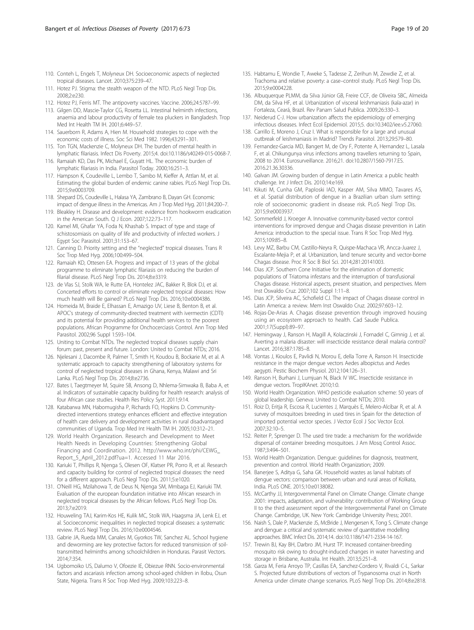- <span id="page-18-0"></span>110. Conteh L, Engels T, Molyneux DH. Socioeconomic aspects of neglected tropical diseases. Lancet. 2010;375:239–47.
- 111. Hotez PJ. Stigma: the stealth weapon of the NTD. PLoS Negl Trop Dis. 2008;2:e230.
- 112. Hotez PJ, Ferris MT. The antipoverty vaccines. Vaccine. 2006;24:5787–99.
- 113. Gilgen DD, Mascie-Taylor CG, Rosetta LL. Intestinal helminth infections, anaemia and labour productivity of female tea pluckers in Bangladesh. Trop Med Int Health TM IH. 2001;6:449–57.
- 114. Sauerborn R, Adams A, Hien M. Household strategies to cope with the economic costs of illness. Soc Sci Med 1982. 1996;43:291–301.
- 115. Ton TGN, Mackenzie C, Molyneux DH. The burden of mental health in lymphatic filariasis. Infect Dis Poverty. 2015;4. doi:[10.1186/s40249-015-0068-7](http://dx.doi.org/10.1186/s40249-015-0068-7).
- 116. Ramaiah KD, Das PK, Michael E, Guyatt HL. The economic burden of lymphatic filariasis in India. Parasitol Today. 2000;16:251–3.
- 117. Hampson K, Coudeville L, Lembo T, Sambo M, Kieffer A, Attlan M, et al. Estimating the global burden of endemic canine rabies. PLoS Negl Trop Dis. 2015;9:e0003709.
- 118. Shepard DS, Coudeville L, Halasa YA, Zambrano B, Dayan GH. Economic impact of dengue illness in the Americas. Am J Trop Med Hyg. 2011;84:200–7.
- 119. Bleakley H. Disease and development: evidence from hookworm eradication in the American South. Q J Econ. 2007;122:73–117.
- 120. Kamel MI, Ghafar YA, Foda N, Khashab S. Impact of type and stage of schistosomiasis on quality of life and productivity of infected workers. J Egypt Soc Parasitol. 2001;31:153–67.
- 121. Canning D. Priority setting and the "neglected" tropical diseases. Trans R Soc Trop Med Hyg. 2006;100:499–504.
- 122. Ramaiah KD, Ottesen EA. Progress and impact of 13 years of the global programme to eliminate lymphatic filariasis on reducing the burden of filarial disease. PLoS Negl Trop Dis. 2014;8:e3319.
- 123. de Vlas SJ, Stolk WA, le Rutte EA, Hontelez JAC, Bakker R, Blok DJ, et al. Concerted efforts to control or eliminate neglected tropical diseases: How much health will Be gained? PLoS Negl Trop Dis. 2016;10:e0004386.
- 124. Homeida M, Braide E, Elhassan E, Amazigo UV, Liese B, Benton B, et al. APOC's strategy of community-directed treatment with ivermectin (CDTI) and its potential for providing additional health services to the poorest populations. African Programme for Onchocerciasis Control. Ann Trop Med Parasitol. 2002;96 Suppl 1:S93–104.
- 125. Uniting to Combat NTDs. The neglected tropical diseases supply chain forum: past, present and future. London: United to Combat NTDs; 2016.
- 126. Njelesani J, Dacombe R, Palmer T, Smith H, Koudou B, Bockarie M, et al. A systematic approach to capacity strengthening of laboratory systems for control of neglected tropical diseases in Ghana, Kenya, Malawi and Sri Lanka. PLoS Negl Trop Dis. 2014;8:e2736.
- 127. Bates I, Taegtmeyer M, Squire SB, Ansong D, Nhlema-Simwaka B, Baba A, et al. Indicators of sustainable capacity building for health research: analysis of four African case studies. Health Res Policy Syst. 2011;9:14.
- 128. Katabarwa MN, Habomugisha P, Richards FO, Hopkins D. Communitydirected interventions strategy enhances efficient and effective integration of health care delivery and development activities in rural disadvantaged communities of Uganda. Trop Med Int Health TM IH. 2005;10:312–21.
- 129. World Health Organization. Research and Development to Meet Health Needs in Developing Countries: Strengthening Global Financing and Coordination. 2012. [http://www.who.int/phi/CEWG\\_](http://www.who.int/phi/CEWG_Report_5_April_2012.pdf?ua=1) [Report\\_5\\_April\\_2012.pdf?ua=1.](http://www.who.int/phi/CEWG_Report_5_April_2012.pdf?ua=1) Accessed 11 Mar 2016.
- 130. Kariuki T, Phillips R, Njenga S, Olesen OF, Klatser PR, Porro R, et al. Research and capacity building for control of neglected tropical diseases: the need for a different approach. PLoS Negl Trop Dis. 2011;5:e1020.
- 131. O'Neill HG, Mzilahowa T, de Deus N, Njenga SM, Mmbaga EJ, Kariuki TM. Evaluation of the european foundation initiative into African research in neglected tropical diseases by the African fellows. PLoS Negl Trop Dis. 2013;7:e2019.
- 132. Houweling TAJ, Karim-Kos HE, Kulik MC, Stolk WA, Haagsma JA, Lenk EJ, et al. Socioeconomic inequalities in neglected tropical diseases: a systematic review. PLoS Negl Trop Dis. 2016;10:e0004546.
- 133. Gabrie JA, Rueda MM, Canales M, Gyorkos TW, Sanchez AL. School hygiene and deworming are key protective factors for reduced transmission of soiltransmitted helminths among schoolchildren in Honduras. Parasit Vectors. 2014;7:354.
- 134. Ugbomoiko US, Dalumo V, Ofoezie IE, Obiezue RNN. Socio-environmental factors and ascariasis infection among school-aged children in Ilobu, Osun State, Nigeria. Trans R Soc Trop Med Hyg. 2009;103:223–8.
- 135. Habtamu E, Wondie T, Aweke S, Tadesse Z, Zerihun M, Zewdie Z, et al. Trachoma and relative poverty: a case–control study. PLoS Negl Trop Dis. 2015;9:e0004228.
- 136. Albuquerque PLMM, da Silva Júnior GB, Freire CCF, de Oliveira SBC, Almeida DM, da Silva HF, et al. Urbanization of visceral leishmaniasis (kala-azar) in Fortaleza, Ceará, Brazil. Rev Panam Salud Publica. 2009;26:330–3.
- 137. Neiderud C-J. How urbanization affects the epidemiology of emerging infectious diseases. Infect Ecol Epidemiol. 2015;5. doi[:10.3402/iee.v5.27060.](http://dx.doi.org/10.3402/iee.v5.27060)
- 138. Carrillo E, Moreno J, Cruz I. What is responsible for a large and unusual outbreak of leishmaniasis in Madrid? Trends Parasitol. 2013;29:579–80.
- 139. Fernandez-Garcia MD, Bangert M, de Ory F, Potente A, Hernandez L, Lasala F, et al. Chikungunya virus infections among travellers returning to Spain, 2008 to 2014. Eurosurveillance. 2016;21. doi:[10.2807/1560-7917.ES.](http://dx.doi.org/10.2807/1560-7917.ES.2016.21.36.30336) [2016.21.36.30336.](http://dx.doi.org/10.2807/1560-7917.ES.2016.21.36.30336)
- 140. Galvan JM. Growing burden of dengue in Latin America: a public health challenge. Int J Infect Dis. 2010;14:e169.
- 141. Kikuti M, Cunha GM, Paploski IAD, Kasper AM, Silva MMO, Tavares AS, et al. Spatial distribution of dengue in a Brazilian urban slum setting: role of socioeconomic gradient in disease risk. PLoS Negl Trop Dis. 2015;9:e0003937.
- 142. Sommerfeld J, Kroeger A. Innovative community-based vector control interventions for improved dengue and Chagas disease prevention in Latin America: introduction to the special issue. Trans R Soc Trop Med Hyg. 2015;109:85–8.
- 143. Levy MZ, Barbu CM, Castillo-Neyra R, Quispe-Machaca VR, Ancca-Juarez J, Escalante-Mejia P, et al. Urbanization, land tenure security and vector-borne Chagas disease. Proc R Soc B Biol Sci. 2014;281:20141003.
- 144. Dias JCP. Southern Cone Initiative for the elimination of domestic populations of Triatoma infestans and the interruption of transfusional Chagas disease. Historical aspects, present situation, and perspectives. Mem Inst Oswaldo Cruz. 2007;102 Suppl 1:11–8.
- 145. Dias JCP, Silveira AC, Schofield CJ. The impact of Chagas disease control in Latin America: a review. Mem Inst Oswaldo Cruz. 2002;97:603–12.
- 146. Rojas-De-Arias A. Chagas disease prevention through improved housing using an ecosystem approach to health. Cad Saude Publica. 2001;17(Suppl):89–97.
- 147. Hemingway J, Ranson H, Magill A, Kolaczinski J, Fornadel C, Gimnig J, et al. Averting a malaria disaster: will insecticide resistance derail malaria control? Lancet. 2016;387:1785–8.
- 148. Vontas J, Kioulos E, Pavlidi N, Morou E, della Torre A, Ranson H. Insecticide resistance in the major dengue vectors Aedes albopictus and Aedes aegypti. Pestic Biochem Physiol. 2012;104:126–31.
- 149. Ranson H, Burhani J, Lumjuan N, Black IV WC. Insecticide resistance in dengue vectors. TropIKAnet. 2010;1:0.
- 150. World Health Organization. WHO pesticide evaluation scheme: 50 years of global leadership. Geneva: United to Combat NTDs; 2010.
- 151. Roiz D, Eritja R, Escosa R, Lucientes J, Marquès E, Melero-Alcíbar R, et al. A survey of mosquitoes breeding in used tires in Spain for the detection of imported potential vector species. J Vector Ecol J Soc Vector Ecol. 2007;32:10–5.
- 152. Reiter P, Sprenger D. The used tire trade: a mechanism for the worldwide dispersal of container breeding mosquitoes. J Am Mosq Control Assoc. 1987;3:494–501.
- 153. World Health Organization. Dengue: guidelines for diagnosis, treatment, prevention and control. World Health Organization; 2009.
- 154. Banerjee S, Aditya G, Saha GK. Household wastes as larval habitats of dengue vectors: comparison between urban and rural areas of Kolkata, India. PLoS ONE. 2015;10:e0138082.
- 155. McCarthy JJ, Intergovernmental Panel on Climate Change. Climate change 2001: impacts, adaptation, and vulnerability: contribution of Working Group II to the third assessment report of the Intergovernmental Panel on Climate Change. Cambridge, UK. New York: Cambridge University Press; 2001.
- 156. Naish S, Dale P, Mackenzie JS, McBride J, Mengersen K, Tong S. Climate change and dengue: a critical and systematic review of quantitative modelling approaches. BMC Infect Dis. 2014;14. doi[:10.1186/1471-2334-14-167.](http://dx.doi.org/10.1186/1471-2334-14-167)
- 157. Trewin BJ, Kay BH, Darbro JM, Hurst TP. Increased container-breeding mosquito risk owing to drought-induced changes in water harvesting and storage in Brisbane, Australia. Int Health. 2013;5:251–8.
- 158. Garza M, Feria Arroyo TP, Casillas EA, Sanchez-Cordero V, Rivaldi C-L, Sarkar S. Projected future distributions of vectors of Trypanosoma cruzi in North America under climate change scenarios. PLoS Negl Trop Dis. 2014;8:e2818.